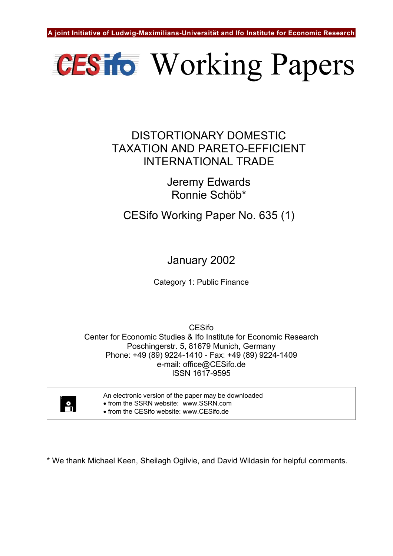

# DISTORTIONARY DOMESTIC TAXATION AND PARETO-EFFICIENT INTERNATIONAL TRADE

Jeremy Edwards Ronnie Schöb\*

CESifo Working Paper No. 635 (1)

January 2002

Category 1: Public Finance

**CESifo** Center for Economic Studies & Ifo Institute for Economic Research Poschingerstr. 5, 81679 Munich, Germany Phone: +49 (89) 9224-1410 - Fax: +49 (89) 9224-1409 e-mail: office@CESifo.de ISSN 1617-9595



An electronic version of the paper may be downloaded<br>• from the SSRN website: www.SSRN.com<br>• from the CESife website: www.CESife do • from the SSRN website: [www.SSRN.com](http://www.ssrn.com/) • from the CESifo website: [www.CESifo.de](http://www.cesifo.de/)

\* We thank Michael Keen, Sheilagh Ogilvie, and David Wildasin for helpful comments.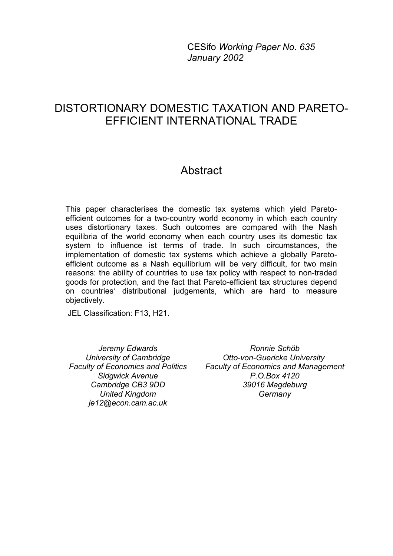CESifo *Working Paper No. 635 January 2002*

# DISTORTIONARY DOMESTIC TAXATION AND PARETO-EFFICIENT INTERNATIONAL TRADE

# **Abstract**

This paper characterises the domestic tax systems which yield Paretoefficient outcomes for a two-country world economy in which each country uses distortionary taxes. Such outcomes are compared with the Nash equilibria of the world economy when each country uses its domestic tax system to influence ist terms of trade. In such circumstances, the implementation of domestic tax systems which achieve a globally Paretoefficient outcome as a Nash equilibrium will be very difficult, for two main reasons: the ability of countries to use tax policy with respect to non-traded goods for protection, and the fact that Pareto-efficient tax structures depend on countries' distributional judgements, which are hard to measure objectively.

JEL Classification: F13, H21.

*Jeremy Edwards University of Cambridge Sidgwick Avenue Cambridge CB3 9DD United Kingdom je12@econ.cam.ac.uk*

*Faculty of Economics and Politics Faculty of Economics and Management Ronnie Schöb Otto-von-Guericke University P.O.Box 4120 39016 Magdeburg Germany*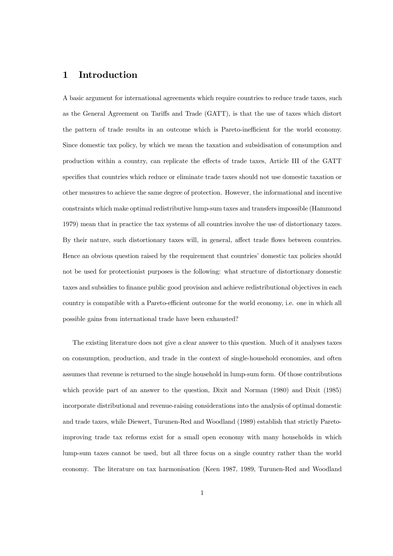### 1 Introduction

A basic argument for international agreements which require countries to reduce trade taxes, such as the General Agreement on Tariffs and Trade (GATT), is that the use of taxes which distort the pattern of trade results in an outcome which is Pareto-inefficient for the world economy. Since domestic tax policy, by which we mean the taxation and subsidisation of consumption and production within a country, can replicate the effects of trade taxes, Article III of the GATT specifies that countries which reduce or eliminate trade taxes should not use domestic taxation or other measures to achieve the same degree of protection. However, the informational and incentive constraints which make optimal redistributive lump-sum taxes and transfers impossible (Hammond 1979) mean that in practice the tax systems of all countries involve the use of distortionary taxes. By their nature, such distortionary taxes will, in general, affect trade flows between countries. Hence an obvious question raised by the requirement that countries' domestic tax policies should not be used for protectionist purposes is the following: what structure of distortionary domestic taxes and subsidies to finance public good provision and achieve redistributional objectives in each country is compatible with a Pareto-efficient outcome for the world economy, i.e. one in which all possible gains from international trade have been exhausted?

The existing literature does not give a clear answer to this question. Much of it analyses taxes on consumption, production, and trade in the context of single-household economies, and often assumes that revenue is returned to the single household in lump-sum form. Of those contributions which provide part of an answer to the question, Dixit and Norman (1980) and Dixit (1985) incorporate distributional and revenue-raising considerations into the analysis of optimal domestic and trade taxes, while Diewert, Turunen-Red and Woodland (1989) establish that strictly Paretoimproving trade tax reforms exist for a small open economy with many households in which lump-sum taxes cannot be used, but all three focus on a single country rather than the world economy. The literature on tax harmonisation (Keen 1987, 1989, Turunen-Red and Woodland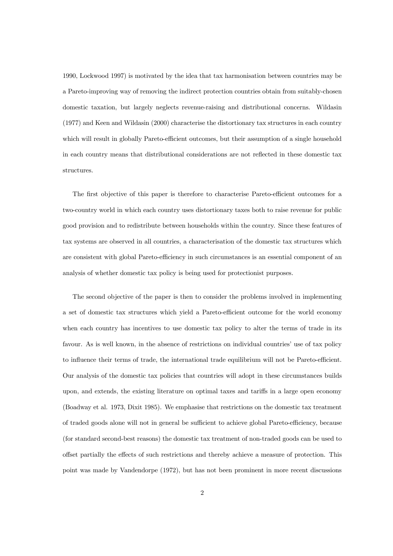1990, Lockwood 1997) is motivated by the idea that tax harmonisation between countries may be a Pareto-improving way of removing the indirect protection countries obtain from suitably-chosen domestic taxation, but largely neglects revenue-raising and distributional concerns. Wildasin (1977) and Keen and Wildasin (2000) characterise the distortionary tax structures in each country which will result in globally Pareto-efficient outcomes, but their assumption of a single household in each country means that distributional considerations are not reflected in these domestic tax structures.

The first objective of this paper is therefore to characterise Pareto-efficient outcomes for a two-country world in which each country uses distortionary taxes both to raise revenue for public good provision and to redistribute between households within the country. Since these features of tax systems are observed in all countries, a characterisation of the domestic tax structures which are consistent with global Pareto-efficiency in such circumstances is an essential component of an analysis of whether domestic tax policy is being used for protectionist purposes.

The second objective of the paper is then to consider the problems involved in implementing a set of domestic tax structures which yield a Pareto-efficient outcome for the world economy when each country has incentives to use domestic tax policy to alter the terms of trade in its favour. As is well known, in the absence of restrictions on individual countries' use of tax policy to influence their terms of trade, the international trade equilibrium will not be Pareto-efficient. Our analysis of the domestic tax policies that countries will adopt in these circumstances builds upon, and extends, the existing literature on optimal taxes and tariffs in a large open economy (Boadway et al. 1973, Dixit 1985). We emphasise that restrictions on the domestic tax treatment of traded goods alone will not in general be sufficient to achieve global Pareto-efficiency, because (for standard second-best reasons) the domestic tax treatment of non-traded goods can be used to offset partially the effects of such restrictions and thereby achieve a measure of protection. This point was made by Vandendorpe (1972), but has not been prominent in more recent discussions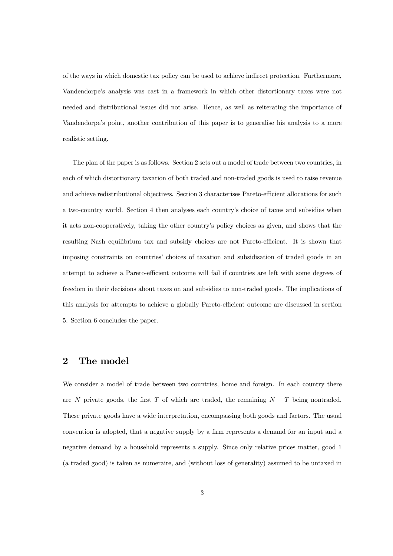of the ways in which domestic tax policy can be used to achieve indirect protection. Furthermore, Vandendorpeís analysis was cast in a framework in which other distortionary taxes were not needed and distributional issues did not arise. Hence, as well as reiterating the importance of Vandendorpe's point, another contribution of this paper is to generalise his analysis to a more realistic setting.

The plan of the paper is as follows. Section 2 sets out a model of trade between two countries, in each of which distortionary taxation of both traded and non-traded goods is used to raise revenue and achieve redistributional objectives. Section 3 characterises Pareto-efficient allocations for such a two-country world. Section 4 then analyses each countryís choice of taxes and subsidies when it acts non-cooperatively, taking the other countryís policy choices as given, and shows that the resulting Nash equilibrium tax and subsidy choices are not Pareto-efficient. It is shown that imposing constraints on countries' choices of taxation and subsidisation of traded goods in an attempt to achieve a Pareto-efficient outcome will fail if countries are left with some degrees of freedom in their decisions about taxes on and subsidies to non-traded goods. The implications of this analysis for attempts to achieve a globally Pareto-efficient outcome are discussed in section 5. Section 6 concludes the paper.

## 2 The model

We consider a model of trade between two countries, home and foreign. In each country there are N private goods, the first T of which are traded, the remaining  $N - T$  being nontraded. These private goods have a wide interpretation, encompassing both goods and factors. The usual convention is adopted, that a negative supply by a firm represents a demand for an input and a negative demand by a household represents a supply. Since only relative prices matter, good 1 (a traded good) is taken as numeraire, and (without loss of generality) assumed to be untaxed in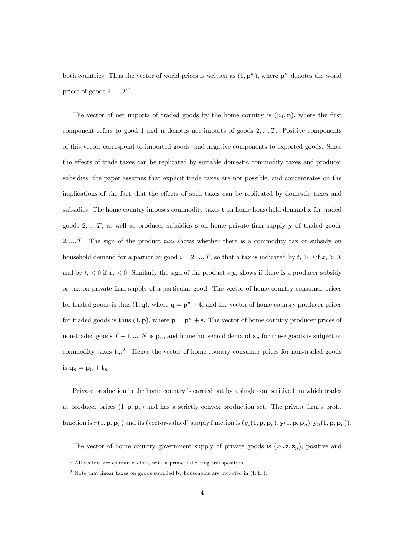both countries. Thus the vector of world prices is written as  $(1, \mathbf{p}^w)$ , where  $\mathbf{p}^w$  denotes the world prices of goods  $2, ..., T$ <sup>1</sup>

The vector of net imports of traded goods by the home country is  $(n_1, n)$ , where the first component refers to good 1 and  $\bf{n}$  denotes net imports of goods 2, ..., T. Positive components of this vector correspond to imported goods, and negative components to exported goods. Since the effects of trade taxes can be replicated by suitable domestic commodity taxes and producer subsidies, the paper assumes that explicit trade taxes are not possible, and concentrates on the implications of the fact that the effects of such taxes can be replicated by domestic taxes and subsidies. The home country imposes commodity taxes **t** on home household demand **x** for traded goods  $2, ..., T$ , as well as producer subsidies s on home private firm supply y of traded goods 2,..., T. The sign of the product  $t_i x_i$  shows whether there is a commodity tax or subsidy on household demand for a particular good  $i = 2, ..., T$ , so that a tax is indicated by  $t_i > 0$  if  $x_i > 0$ , and by  $t_i < 0$  if  $x_i < 0$ . Similarly the sign of the product  $s_i y_i$  shows if there is a producer subsidy or tax on private Örm supply of a particular good. The vector of home country consumer prices for traded goods is thus  $(1, \mathbf{q})$ , where  $\mathbf{q} = \mathbf{p}^w + \mathbf{t}$ , and the vector of home country producer prices for traded goods is thus  $(1, \mathbf{p})$ , where  $\mathbf{p} = \mathbf{p}^w + \mathbf{s}$ . The vector of home country producer prices of non-traded goods  $T + 1, ..., N$  is  $\mathbf{p}_n$ , and home household demand  $\mathbf{x}_n$  for these goods is subject to commodity taxes  $t_n$ .<sup>2</sup> Hence the vector of home country consumer prices for non-traded goods is  $\mathbf{q}_n = \mathbf{p}_n + \mathbf{t}_n$ .

Private production in the home country is carried out by a single competitive firm which trades at producer prices  $(1, \mathbf{p}, \mathbf{p}_n)$  and has a strictly convex production set. The private firm's profit function is  $\pi(1, \mathbf{p}, \mathbf{p}_n)$  and its (vector-valued) supply function is  $(y_1(1, \mathbf{p}, \mathbf{p}_n), \mathbf{y}(1, \mathbf{p}, \mathbf{p}_n), \mathbf{y}_n(1, \mathbf{p}, \mathbf{p}_n)).$ 

The vector of home country government supply of private goods is  $(z_1, \mathbf{z}, \mathbf{z}_n)$ , positive and

<sup>1</sup> All vectors are column vectors, with a prime indicating transposition.

<sup>&</sup>lt;sup>2</sup> Note that linear taxes on goods supplied by households are included in  $(\mathbf{t}, \mathbf{t}_n)$ .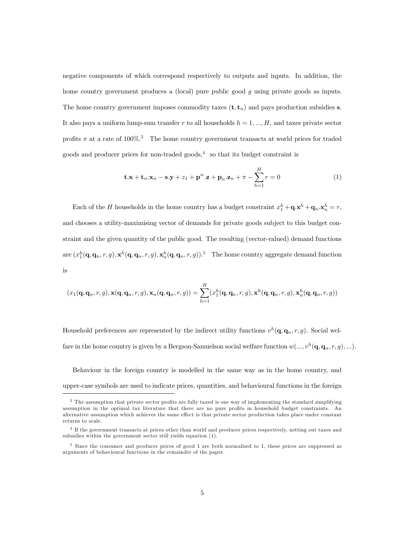negative components of which correspond respectively to outputs and inputs. In addition, the home country government produces a (local) pure public good g using private goods as inputs. The home country government imposes commodity taxes  $(\mathbf{t}, \mathbf{t}_n)$  and pays production subsidies s. It also pays a uniform lump-sum transfer r to all households  $h = 1, ..., H$ , and taxes private sector profits  $\pi$  at a rate of 100%.<sup>3</sup> The home country government transacts at world prices for traded goods and producer prices for non-traded goods, $4\degree$  so that its budget constraint is

$$
\mathbf{t}.\mathbf{x} + \mathbf{t}_n.\mathbf{x}_n - \mathbf{s}.\mathbf{y} + z_1 + \mathbf{p}^w.\mathbf{z} + \mathbf{p}_n.\mathbf{z}_n + \pi - \sum_{h=1}^H r = 0
$$
 (1)

Each of the H households in the home country has a budget constraint  $x_1^h + \mathbf{q} \cdot \mathbf{x}^h + \mathbf{q}_n \cdot \mathbf{x}_n^h = r$ , and chooses a utility-maximising vector of demands for private goods subject to this budget constraint and the given quantity of the public good. The resulting (vector-valued) demand functions are  $(x_1^h(\mathbf{q},\mathbf{q}_n,r,g),\mathbf{x}^h(\mathbf{q},\mathbf{q}_n,r,g),\mathbf{x}^h_n(\mathbf{q},\mathbf{q}_n,r,g))$ .<sup>5</sup> The home country aggregate demand function is

$$
(x_1(\mathbf{q},\mathbf{q}_n,r,g),\mathbf{x}(\mathbf{q},\mathbf{q}_n,r,g),\mathbf{x}_n(\mathbf{q},\mathbf{q}_n,r,g)) = \sum_{h=1}^H (x_1^h(\mathbf{q},\mathbf{q}_n,r,g),\mathbf{x}^h(\mathbf{q},\mathbf{q}_n,r,g),\mathbf{x}^h_n(\mathbf{q},\mathbf{q}_n,r,g))
$$

Household preferences are represented by the indirect utility functions  $v^h(\mathbf{q}, \mathbf{q}_n, r, g)$ . Social welfare in the home country is given by a Bergson-Samuelson social welfare function  $w(..., v^h(\mathbf{q}, \mathbf{q}_n, r, g), ...)$ .

Behaviour in the foreign country is modelled in the same way as in the home country, and upper-case symbols are used to indicate prices, quantities, and behavioural functions in the foreign

<sup>&</sup>lt;sup>3</sup> The assumption that private sector profits are fully taxed is one way of implementing the standard simplifying assumption in the optimal tax literature that there are no pure profits in household budget constraints. An alternative assumption which achieves the same effect is that private sector production takes place under constant returns to scale.

<sup>4</sup> If the government transacts at prices other than world and producer prices respectively, netting out taxes and subsidies within the government sector still yields equation (1).

<sup>5</sup> Since the consumer and producer prices of good 1 are both normalised to 1, these prices are suppressed as arguments of behavioural functions in the remainder of the paper.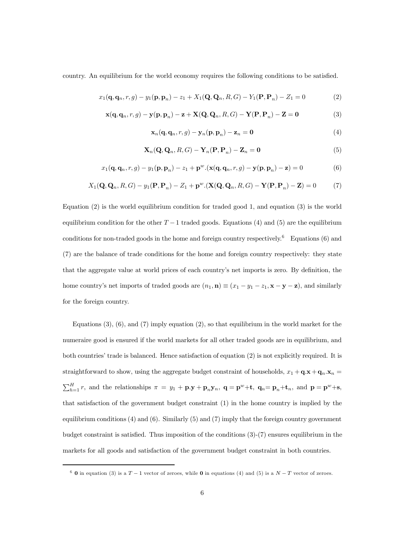country. An equilibrium for the world economy requires the following conditions to be satisfied.

$$
x_1(\mathbf{q}, \mathbf{q}_n, r, g) - y_1(\mathbf{p}, \mathbf{p}_n) - z_1 + X_1(\mathbf{Q}, \mathbf{Q}_n, R, G) - Y_1(\mathbf{P}, \mathbf{P}_n) - Z_1 = 0
$$
\n(2)

$$
\mathbf{x}(\mathbf{q}, \mathbf{q}_n, r, g) - \mathbf{y}(\mathbf{p}, \mathbf{p}_n) - \mathbf{z} + \mathbf{X}(\mathbf{Q}, \mathbf{Q}_n, R, G) - \mathbf{Y}(\mathbf{P}, \mathbf{P}_n) - \mathbf{Z} = \mathbf{0}
$$
\n(3)

$$
\mathbf{x}_n(\mathbf{q},\mathbf{q}_n,r,g) - \mathbf{y}_n(\mathbf{p},\mathbf{p}_n) - \mathbf{z}_n = \mathbf{0}
$$
 (4)

$$
\mathbf{X}_n(\mathbf{Q}, \mathbf{Q}_n, R, G) - \mathbf{Y}_n(\mathbf{P}, \mathbf{P}_n) - \mathbf{Z}_n = \mathbf{0}
$$
\n(5)

$$
x_1(\mathbf{q}, \mathbf{q}_n, r, g) - y_1(\mathbf{p}, \mathbf{p}_n) - z_1 + \mathbf{p}^w \cdot (\mathbf{x}(\mathbf{q}, \mathbf{q}_n, r, g) - \mathbf{y}(\mathbf{p}, \mathbf{p}_n) - \mathbf{z}) = 0
$$
(6)

$$
X_1(\mathbf{Q}, \mathbf{Q}_n, R, G) - y_1(\mathbf{P}, \mathbf{P}_n) - Z_1 + \mathbf{p}^w \cdot (\mathbf{X}(\mathbf{Q}, \mathbf{Q}_n, R, G) - \mathbf{Y}(\mathbf{P}, \mathbf{P}_n) - \mathbf{Z}) = 0 \tag{7}
$$

Equation (2) is the world equilibrium condition for traded good 1, and equation (3) is the world equilibrium condition for the other  $T-1$  traded goods. Equations (4) and (5) are the equilibrium conditions for non-traded goods in the home and foreign country respectively.<sup>6</sup> Equations (6) and (7) are the balance of trade conditions for the home and foreign country respectively: they state that the aggregate value at world prices of each country's net imports is zero. By definition, the home country's net imports of traded goods are  $(n_1, \mathbf{n}) \equiv (x_1 - y_1 - z_1, \mathbf{x} - \mathbf{y} - \mathbf{z})$ , and similarly for the foreign country.

Equations  $(3)$ ,  $(6)$ , and  $(7)$  imply equation  $(2)$ , so that equilibrium in the world market for the numeraire good is ensured if the world markets for all other traded goods are in equilibrium, and both countries' trade is balanced. Hence satisfaction of equation (2) is not explicitly required. It is straightforward to show, using the aggregate budget constraint of households,  $x_1 + \mathbf{q} \cdot \mathbf{x} + \mathbf{q}_n \cdot \mathbf{x}_n =$  $\sum_{h=1}^{H} r$ , and the relationships  $\pi = y_1 + \mathbf{p} \cdot \mathbf{y} + \mathbf{p}_n \mathbf{y}_n$ ,  $\mathbf{q} = \mathbf{p}^w + \mathbf{t}$ ,  $\mathbf{q}_n = \mathbf{p}_n + \mathbf{t}_n$ , and  $\mathbf{p} = \mathbf{p}^w + \mathbf{s}$ , that satisfaction of the government budget constraint (1) in the home country is implied by the equilibrium conditions (4) and (6). Similarly (5) and (7) imply that the foreign country government budget constraint is satisfied. Thus imposition of the conditions  $(3)-(7)$  ensures equilibrium in the markets for all goods and satisfaction of the government budget constraint in both countries.

<sup>&</sup>lt;sup>6</sup> **0** in equation (3) is a  $T - 1$  vector of zeroes, while **0** in equations (4) and (5) is a  $N - T$  vector of zeroes.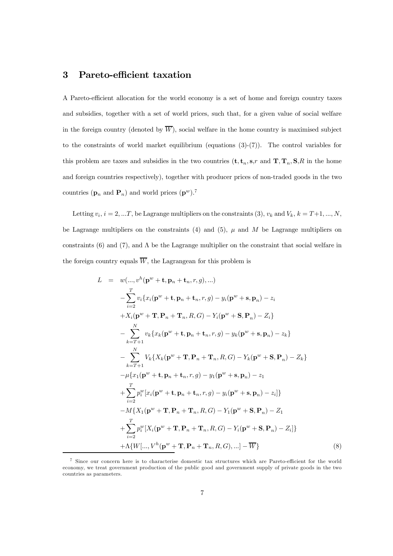### 3 Pareto-efficient taxation

A Pareto-efficient allocation for the world economy is a set of home and foreign country taxes and subsidies, together with a set of world prices, such that, for a given value of social welfare in the foreign country (denoted by  $\overline{W}$ ), social welfare in the home country is maximised subject to the constraints of world market equilibrium (equations  $(3)-(7)$ ). The control variables for this problem are taxes and subsidies in the two countries  $(\mathbf{t}, \mathbf{t}_n, \mathbf{s}, r \text{ and } \mathbf{T}, \mathbf{T}_n, \mathbf{S}, R \text{ in the home})$ and foreign countries respectively), together with producer prices of non-traded goods in the two countries  $(\mathbf{p}_n \text{ and } \mathbf{P}_n)$  and world prices  $(\mathbf{p}^w)$ .<sup>7</sup>

Letting  $v_i$ ,  $i = 2, ...T$ , be Lagrange multipliers on the constraints (3),  $v_k$  and  $V_k$ ,  $k = T+1, ..., N$ , be Lagrange multipliers on the constraints (4) and (5),  $\mu$  and M be Lagrange multipliers on constraints (6) and (7), and  $\Lambda$  be the Lagrange multiplier on the constraint that social welfare in the foreign country equals  $\overline{W}$ , the Lagrangean for this problem is

$$
L = w(..., v^{h}(\mathbf{p}^{w} + \mathbf{t}, \mathbf{p}_{n} + \mathbf{t}_{n}, r, g), ...)
$$
\n
$$
- \sum_{i=2}^{T} v_{i} \{x_{i}(\mathbf{p}^{w} + \mathbf{t}, \mathbf{p}_{n} + \mathbf{t}_{n}, r, g) - y_{i}(\mathbf{p}^{w} + \mathbf{s}, \mathbf{p}_{n}) - z_{i}
$$
\n
$$
+ X_{i}(\mathbf{p}^{w} + \mathbf{T}, \mathbf{P}_{n} + \mathbf{T}_{n}, R, G) - Y_{i}(\mathbf{p}^{w} + \mathbf{S}, \mathbf{P}_{n}) - Z_{i}\}
$$
\n
$$
- \sum_{k=T+1}^{N} v_{k} \{x_{k}(\mathbf{p}^{w} + \mathbf{t}, \mathbf{p}_{n} + \mathbf{t}_{n}, r, g) - y_{k}(\mathbf{p}^{w} + \mathbf{s}, \mathbf{p}_{n}) - z_{k}\}
$$
\n
$$
- \sum_{k=T+1}^{N} V_{k} \{X_{k}(\mathbf{p}^{w} + \mathbf{T}, \mathbf{P}_{n} + \mathbf{T}_{n}, R, G) - Y_{k}(\mathbf{p}^{w} + \mathbf{S}, \mathbf{P}_{n}) - Z_{k}\}
$$
\n
$$
- \mu \{x_{1}(\mathbf{p}^{w} + \mathbf{t}, \mathbf{p}_{n} + \mathbf{t}_{n}, r, g) - y_{1}(\mathbf{p}^{w} + \mathbf{s}, \mathbf{p}_{n}) - z_{1}\}
$$
\n
$$
+ \sum_{i=2}^{T} p_{i}^{w} [x_{i}(\mathbf{p}^{w} + \mathbf{t}, \mathbf{p}_{n} + \mathbf{t}_{n}, r, g) - Y_{i}(\mathbf{p}^{w} + \mathbf{s}, \mathbf{p}_{n}) - Z_{i}] \}
$$
\n
$$
- M \{X_{1}(\mathbf{p}^{w} + \mathbf{T}, \mathbf{P}_{n} + \mathbf{T}_{n}, R, G) - Y_{1}(\mathbf{p}^{w} + \mathbf{S}, \mathbf{P}_{n}) - Z_{1}\}
$$
\n
$$
+ \sum_{i=2}^{T} p_{i}^{w} [X_{i}(\mathbf{p}^{w} + \math
$$

 $7$  Since our concern here is to characterise domestic tax structures which are Pareto-efficient for the world economy, we treat government production of the public good and government supply of private goods in the two countries as parameters.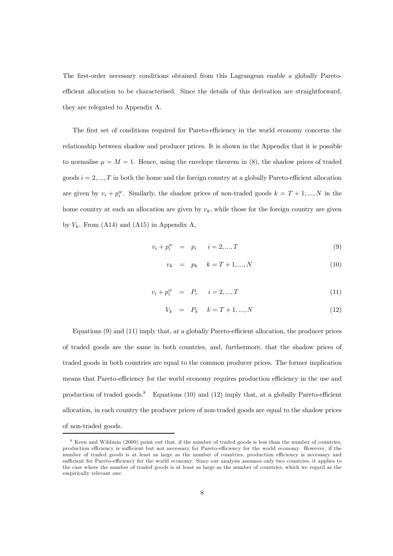The first-order necessary conditions obtained from this Lagrangean enable a globally Paretoefficient allocation to be characterised. Since the details of this derivation are straightforward, they are relegated to Appendix A.

The first set of conditions required for Pareto-efficiency in the world economy concerns the relationship between shadow and producer prices. It is shown in the Appendix that it is possible to normalise  $\mu = M = 1$ . Hence, using the envelope theorem in (8), the shadow prices of traded goods  $i = 2, ..., T$  in both the home and the foreign country at a globally Pareto-efficient allocation are given by  $v_i + p_i^w$ . Similarly, the shadow prices of non-traded goods  $k = T + 1, ..., N$  in the home country at such an allocation are given by  $v_k$ , while those for the foreign country are given by  $V_k$ . From (A14) and (A15) in Appendix A,

$$
v_i + p_i^w = p_i \t i = 2, ..., T \t (9)
$$

$$
v_k = p_k \t k = T + 1, ..., N \t (10)
$$

$$
v_i + p_i^w = P_i \t i = 2, ..., T \t (11)
$$

$$
V_k = P_k \t k = T + 1, ..., N \t (12)
$$

Equations  $(9)$  and  $(11)$  imply that, at a globally Pareto-efficient allocation, the producer prices of traded goods are the same in both countries, and, furthermore, that the shadow prices of traded goods in both countries are equal to the common producer prices. The former implication means that Pareto-efficiency for the world economy requires production efficiency in the use and production of traded goods.<sup>8</sup> Equations (10) and (12) imply that, at a globally Pareto-efficient allocation, in each country the producer prices of non-traded goods are equal to the shadow prices of non-traded goods.

<sup>8</sup> Keen and Wildasin (2000) point out that, if the number of traded goods is less than the number of countries, production efficiency is sufficient but not necessary for Pareto-efficiency for the world economy. However, if the number of traded goods is at least as large as the number of countries, production efficiency is necessary and sufficient for Pareto-efficiency for the world economy. Since our analysis assumes only two countries, it applies to the case where the number of traded goods is at least as large as the number of countries, which we regard as the empirically relevant one.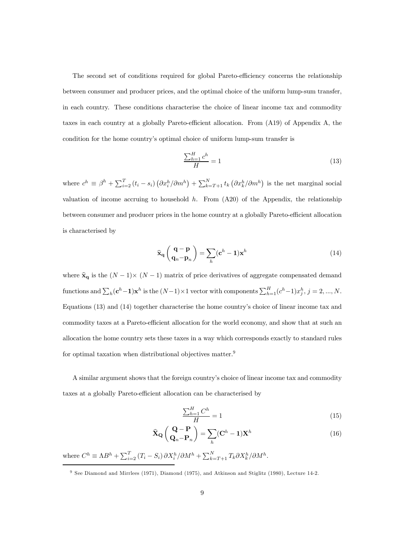The second set of conditions required for global Pareto-efficiency concerns the relationship between consumer and producer prices, and the optimal choice of the uniform lump-sum transfer, in each country. These conditions characterise the choice of linear income tax and commodity taxes in each country at a globally Pareto-efficient allocation. From  $(A19)$  of Appendix A, the condition for the home country's optimal choice of uniform lump-sum transfer is

$$
\frac{\sum_{h=1}^{H} c^h}{H} = 1\tag{13}
$$

where  $c^h \equiv \beta^h + \sum_{i=2}^T (t_i - s_i)$  $\left(\frac{\partial x_i^h}{\partial m^h}\right) + \sum_{k=T+1}^N t_k$  $\left(\partial x_k^h/\partial m^h\right)$  is the net marginal social valuation of income accruing to household  $h$ . From  $(A20)$  of the Appendix, the relationship between consumer and producer prices in the home country at a globally Pareto-efficient allocation is characterised by

$$
\widehat{\mathbf{x}}_{\mathbf{q}}\begin{pmatrix}\mathbf{q}-\mathbf{p} \\ \mathbf{q}_n-\mathbf{p}_n\end{pmatrix} = \sum_{h} (\mathbf{c}^h - 1)\mathbf{x}^h \tag{14}
$$

where  $\hat{\mathbf{x}}_{\mathbf{q}}$  is the  $(N - 1) \times (N - 1)$  matrix of price derivatives of aggregate compensated demand functions and  $\sum_h(\mathbf{c}^h-\mathbf{1})\mathbf{x}^h$  is the  $(N-1)\times 1$  vector with components  $\sum_{h=1}^H(c^h-1)x_i^h$ ,  $j=2,...,N$ . Equations (13) and (14) together characterise the home country's choice of linear income tax and commodity taxes at a Pareto-efficient allocation for the world economy, and show that at such an allocation the home country sets these taxes in a way which corresponds exactly to standard rules for optimal taxation when distributional objectives matter.<sup>9</sup>

A similar argument shows that the foreign countryís choice of linear income tax and commodity taxes at a globally Pareto-efficient allocation can be characterised by

$$
\frac{\sum_{h=1}^{H} C^h}{H} = 1\tag{15}
$$

$$
\widehat{\mathbf{X}}_{\mathbf{Q}}\left(\frac{\mathbf{Q}-\mathbf{P}}{\mathbf{Q}_n-\mathbf{P}_n}\right)=\sum_{h}(\mathbf{C}^h-\mathbf{1})\mathbf{X}^h
$$
\n(16)

where  $C^h \equiv \Lambda B^h + \sum_{i=2}^T (T_i - S_i) \partial X_i^h / \partial M^h + \sum_{k=T+1}^N T_k \partial X_k^h / \partial M^h$ .

<sup>&</sup>lt;sup>9</sup> See Diamond and Mirrlees (1971), Diamond (1975), and Atkinson and Stiglitz (1980), Lecture 14-2.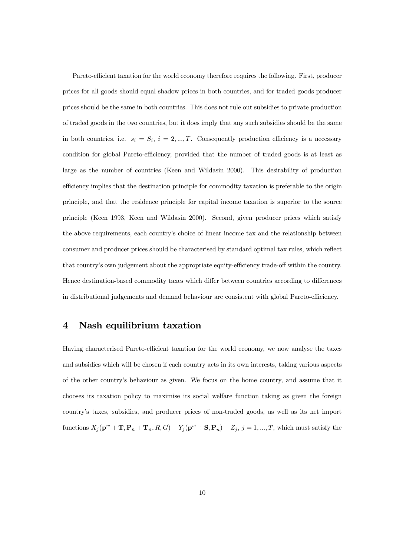Pareto-efficient taxation for the world economy therefore requires the following. First, producer prices for all goods should equal shadow prices in both countries, and for traded goods producer prices should be the same in both countries. This does not rule out subsidies to private production of traded goods in the two countries, but it does imply that any such subsidies should be the same in both countries, i.e.  $s_i = S_i$ ,  $i = 2, ..., T$ . Consequently production efficiency is a necessary condition for global Pareto-efficiency, provided that the number of traded goods is at least as large as the number of countries (Keen and Wildasin 2000). This desirability of production efficiency implies that the destination principle for commodity taxation is preferable to the origin principle, and that the residence principle for capital income taxation is superior to the source principle (Keen 1993, Keen and Wildasin 2000). Second, given producer prices which satisfy the above requirements, each country's choice of linear income tax and the relationship between consumer and producer prices should be characterised by standard optimal tax rules, which reflect that country's own judgement about the appropriate equity-efficiency trade-off within the country. Hence destination-based commodity taxes which differ between countries according to differences in distributional judgements and demand behaviour are consistent with global Pareto-efficiency.

### 4 Nash equilibrium taxation

Having characterised Pareto-efficient taxation for the world economy, we now analyse the taxes and subsidies which will be chosen if each country acts in its own interests, taking various aspects of the other countryís behaviour as given. We focus on the home country, and assume that it chooses its taxation policy to maximise its social welfare function taking as given the foreign countryís taxes, subsidies, and producer prices of non-traded goods, as well as its net import functions  $X_j(\mathbf{p}^w + \mathbf{T}, \mathbf{P}_n + \mathbf{T}_n, R, G) - Y_j(\mathbf{p}^w + \mathbf{S}, \mathbf{P}_n) - Z_j, j = 1, ..., T$ , which must satisfy the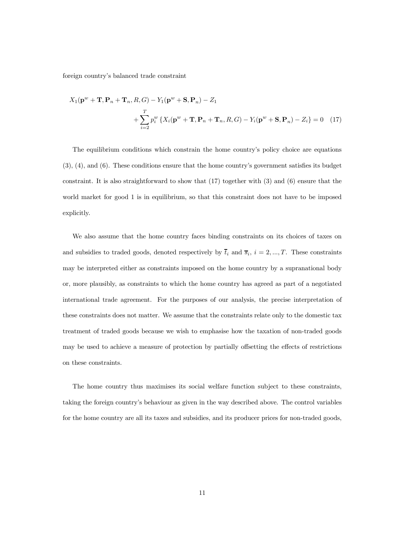foreign countryís balanced trade constraint

$$
X_1(\mathbf{p}^w + \mathbf{T}, \mathbf{P}_n + \mathbf{T}_n, R, G) - Y_1(\mathbf{p}^w + \mathbf{S}, \mathbf{P}_n) - Z_1
$$
  
+ 
$$
\sum_{i=2}^T p_i^w \left\{ X_i(\mathbf{p}^w + \mathbf{T}, \mathbf{P}_n + \mathbf{T}_n, R, G) - Y_i(\mathbf{p}^w + \mathbf{S}, \mathbf{P}_n) - Z_i \right\} = 0 \quad (17)
$$

The equilibrium conditions which constrain the home country's policy choice are equations  $(3)$ ,  $(4)$ , and  $(6)$ . These conditions ensure that the home country's government satisfies its budget constraint. It is also straightforward to show that (17) together with (3) and (6) ensure that the world market for good 1 is in equilibrium, so that this constraint does not have to be imposed explicitly.

We also assume that the home country faces binding constraints on its choices of taxes on and subsidies to traded goods, denoted respectively by  $\bar{t}_i$  and  $\bar{s}_i$ ,  $i = 2, ..., T$ . These constraints may be interpreted either as constraints imposed on the home country by a supranational body or, more plausibly, as constraints to which the home country has agreed as part of a negotiated international trade agreement. For the purposes of our analysis, the precise interpretation of these constraints does not matter. We assume that the constraints relate only to the domestic tax treatment of traded goods because we wish to emphasise how the taxation of non-traded goods may be used to achieve a measure of protection by partially offsetting the effects of restrictions on these constraints.

The home country thus maximises its social welfare function subject to these constraints, taking the foreign countryís behaviour as given in the way described above. The control variables for the home country are all its taxes and subsidies, and its producer prices for non-traded goods,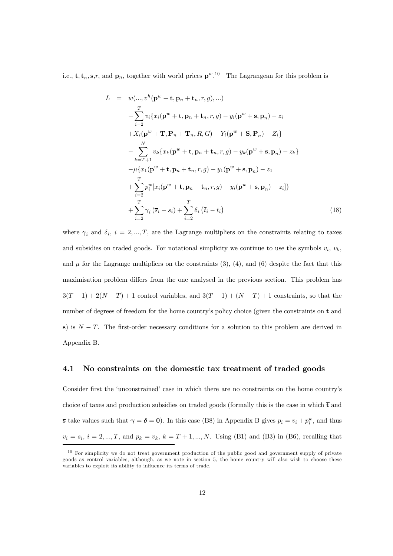i.e.,  $\mathbf{t}, \mathbf{t}_n, \mathbf{s}, r$ , and  $\mathbf{p}_n$ , together with world prices  $\mathbf{p}^w$ .<sup>10</sup> The Lagrangean for this problem is

$$
L = w(..., v^{h}(\mathbf{p}^{w} + \mathbf{t}, \mathbf{p}_{n} + \mathbf{t}_{n}, r, g), ...)
$$
  
\n
$$
- \sum_{i=2}^{T} v_{i} \{x_{i}(\mathbf{p}^{w} + \mathbf{t}, \mathbf{p}_{n} + \mathbf{t}_{n}, r, g) - y_{i}(\mathbf{p}^{w} + \mathbf{s}, \mathbf{p}_{n}) - z_{i}
$$
  
\n
$$
+ X_{i}(\mathbf{p}^{w} + \mathbf{T}, \mathbf{P}_{n} + \mathbf{T}_{n}, R, G) - Y_{i}(\mathbf{p}^{w} + \mathbf{S}, \mathbf{P}_{n}) - Z_{i}\}
$$
  
\n
$$
- \sum_{k=T+1}^{N} v_{k} \{x_{k}(\mathbf{p}^{w} + \mathbf{t}, \mathbf{p}_{n} + \mathbf{t}_{n}, r, g) - y_{k}(\mathbf{p}^{w} + \mathbf{s}, \mathbf{p}_{n}) - z_{k}\}
$$
  
\n
$$
- \mu \{x_{1}(\mathbf{p}^{w} + \mathbf{t}, \mathbf{p}_{n} + \mathbf{t}_{n}, r, g) - y_{1}(\mathbf{p}^{w} + \mathbf{s}, \mathbf{p}_{n}) - z_{1}
$$
  
\n
$$
+ \sum_{i=2}^{T} p_{i}^{w} [x_{i}(\mathbf{p}^{w} + \mathbf{t}, \mathbf{p}_{n} + \mathbf{t}_{n}, r, g) - y_{i}(\mathbf{p}^{w} + \mathbf{s}, \mathbf{p}_{n}) - z_{i}] \}
$$
  
\n
$$
+ \sum_{i=2}^{T} \gamma_{i} (\overline{s}_{i} - s_{i}) + \sum_{i=2}^{T} \delta_{i} (\overline{t}_{i} - t_{i})
$$
(18)

where  $\gamma_i$  and  $\delta_i$ ,  $i = 2, ..., T$ , are the Lagrange multipliers on the constraints relating to taxes and subsidies on traded goods. For notational simplicity we continue to use the symbols  $v_i$ ,  $v_k$ , and  $\mu$  for the Lagrange multipliers on the constraints (3), (4), and (6) despite the fact that this maximisation problem differs from the one analysed in the previous section. This problem has  $3(T - 1) + 2(N - T) + 1$  control variables, and  $3(T - 1) + (N - T) + 1$  constraints, so that the number of degrees of freedom for the home country's policy choice (given the constraints on t and s) is  $N-T$ . The first-order necessary conditions for a solution to this problem are derived in Appendix B.

#### 4.1 No constraints on the domestic tax treatment of traded goods

Consider first the 'unconstrained' case in which there are no constraints on the home country's choice of taxes and production subsidies on traded goods (formally this is the case in which  $\bar{t}$  and **s** take values such that  $\gamma = \delta = 0$ . In this case (B8) in Appendix B gives  $p_i = v_i + p_i^w$ , and thus  $v_i = s_i$ ,  $i = 2, ..., T$ , and  $p_k = v_k$ ,  $k = T + 1, ..., N$ . Using (B1) and (B3) in (B6), recalling that

 $10$  For simplicity we do not treat government production of the public good and government supply of private goods as control variables, although, as we note in section 5, the home country will also wish to choose these variables to exploit its ability to influence its terms of trade.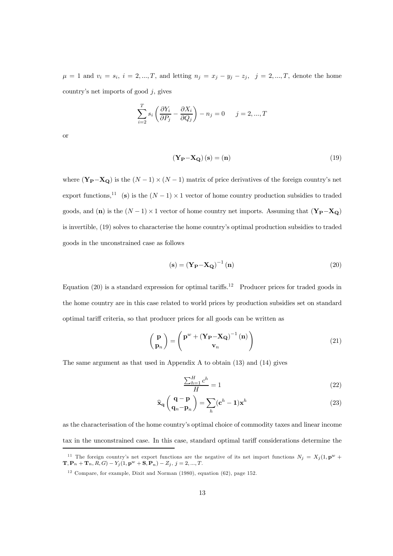$\mu = 1$  and  $v_i = s_i$ ,  $i = 2, ..., T$ , and letting  $n_j = x_j - y_j - z_j$ ,  $j = 2, ..., T$ , denote the home country's net imports of good  $j$ , gives

$$
\sum_{i=2}^{T} s_i \left( \frac{\partial Y_i}{\partial P_j} - \frac{\partial X_i}{\partial Q_j} \right) - n_j = 0 \qquad j = 2, ..., T
$$

or

$$
(\mathbf{Y}_{\mathbf{P}} - \mathbf{X}_{\mathbf{Q}}) (\mathbf{s}) = (\mathbf{n})
$$
\n(19)

where  $(Y_P - X_Q)$  is the  $(N - 1) \times (N - 1)$  matrix of price derivatives of the foreign country's net export functions,<sup>11</sup> (s) is the  $(N-1) \times 1$  vector of home country production subsidies to traded goods, and  $(\mathbf{n})$  is the  $(N-1) \times 1$  vector of home country net imports. Assuming that  $(\mathbf{Y_P} - \mathbf{X_Q})$ is invertible, (19) solves to characterise the home country's optimal production subsidies to traded goods in the unconstrained case as follows

$$
\mathbf{(s)} = \left(\mathbf{Y}_{\mathbf{P}} - \mathbf{X}_{\mathbf{Q}}\right)^{-1}\mathbf{(n)}\tag{20}
$$

Equation (20) is a standard expression for optimal tariffs.<sup>12</sup> Producer prices for traded goods in the home country are in this case related to world prices by production subsidies set on standard optimal tariff criteria, so that producer prices for all goods can be written as

$$
\begin{pmatrix} \mathbf{p} \\ \mathbf{p}_n \end{pmatrix} = \begin{pmatrix} \mathbf{p}^w + (\mathbf{Y}_{\mathbf{P}} - \mathbf{X}_{\mathbf{Q}})^{-1}(\mathbf{n}) \\ \mathbf{v}_n \end{pmatrix}
$$
(21)

The same argument as that used in Appendix A to obtain (13) and (14) gives

$$
\frac{\sum_{h=1}^{H} c^h}{H} = 1\tag{22}
$$

$$
\widehat{\mathbf{x}}_{\mathbf{q}}\begin{pmatrix}\mathbf{q}-\mathbf{p} \\ \mathbf{q}_{n}-\mathbf{p}_{n}\end{pmatrix} = \sum_{h} (\mathbf{c}^{h} - \mathbf{1})\mathbf{x}^{h}
$$
\n(23)

as the characterisation of the home countryís optimal choice of commodity taxes and linear income tax in the unconstrained case. In this case, standard optimal tariff considerations determine the

<sup>&</sup>lt;sup>11</sup> The foreign country's net export functions are the negative of its net import functions  $N_j = X_j(1, \mathbf{p}^w + \mathbf{p}^w)$  $\mathbf{T}, \mathbf{P}_n + \mathbf{T}_n, R, G) - Y_j(1, \mathbf{p}^w + \mathbf{S}, \mathbf{P}_n) - Z_j, j = 2, ..., T.$ 

 $12$  Compare, for example, Dixit and Norman (1980), equation (62), page 152.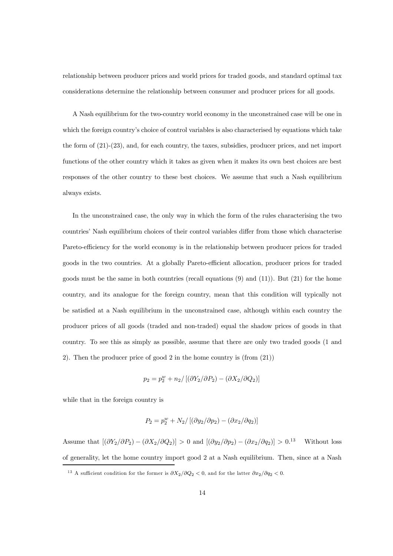relationship between producer prices and world prices for traded goods, and standard optimal tax considerations determine the relationship between consumer and producer prices for all goods.

A Nash equilibrium for the two-country world economy in the unconstrained case will be one in which the foreign country's choice of control variables is also characterised by equations which take the form of (21)-(23), and, for each country, the taxes, subsidies, producer prices, and net import functions of the other country which it takes as given when it makes its own best choices are best responses of the other country to these best choices. We assume that such a Nash equilibrium always exists.

In the unconstrained case, the only way in which the form of the rules characterising the two countries' Nash equilibrium choices of their control variables differ from those which characterise Pareto-efficiency for the world economy is in the relationship between producer prices for traded goods in the two countries. At a globally Pareto-efficient allocation, producer prices for traded goods must be the same in both countries (recall equations (9) and (11)). But (21) for the home country, and its analogue for the foreign country, mean that this condition will typically not be satisfied at a Nash equilibrium in the unconstrained case, although within each country the producer prices of all goods (traded and non-traded) equal the shadow prices of goods in that country. To see this as simply as possible, assume that there are only two traded goods (1 and 2). Then the producer price of good 2 in the home country is (from (21))

$$
p_2 = p_2^w + n_2 / \left[ \left( \frac{\partial Y_2}{\partial P_2} \right) - \left( \frac{\partial X_2}{\partial Q_2} \right) \right]
$$

while that in the foreign country is

$$
P_2 = p_2^w + N_2 / \left[ \left( \partial y_2 / \partial p_2 \right) - \left( \partial x_2 / \partial q_2 \right) \right]
$$

Assume that  $[(\partial Y_2/\partial P_2) - (\partial X_2/\partial Q_2)] > 0$  and  $[(\partial y_2/\partial p_2) - (\partial x_2/\partial q_2)] > 0^{13}$  Without loss of generality, let the home country import good 2 at a Nash equilibrium. Then, since at a Nash

<sup>&</sup>lt;sup>13</sup> A sufficient condition for the former is  $\partial X_2/\partial Q_2 < 0$ , and for the latter  $\partial x_2/\partial q_2 < 0$ .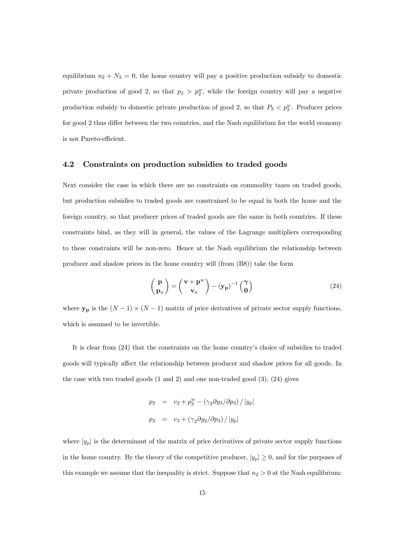equilibrium  $n_2 + N_2 = 0$ , the home country will pay a positive production subsidy to domestic private production of good 2, so that  $p_2 > p_2^w$ , while the foreign country will pay a negative production subsidy to domestic private production of good 2, so that  $P_2 < p_2^w$ . Producer prices for good 2 thus differ between the two countries, and the Nash equilibrium for the world economy is not Pareto-efficient.

#### 4.2 Constraints on production subsidies to traded goods

Next consider the case in which there are no constraints on commodity taxes on traded goods, but production subsidies to traded goods are constrained to be equal in both the home and the foreign country, so that producer prices of traded goods are the same in both countries. If these constraints bind, as they will in general, the values of the Lagrange multipliers corresponding to these constraints will be non-zero. Hence at the Nash equilibrium the relationship between producer and shadow prices in the home country will (from (B8)) take the form

$$
\begin{pmatrix} \mathbf{p} \\ \mathbf{p}_n \end{pmatrix} = \begin{pmatrix} \mathbf{v} + \mathbf{p}^w \\ \mathbf{v}_n \end{pmatrix} - (\mathbf{y_p})^{-1} \begin{pmatrix} \gamma \\ \mathbf{0} \end{pmatrix}
$$
 (24)

where  $y_p$  is the  $(N-1) \times (N-1)$  matrix of price derivatives of private sector supply functions, which is assumed to be invertible.

It is clear from  $(24)$  that the constraints on the home country's choice of subsidies to traded goods will typically affect the relationship between producer and shadow prices for all goods. In the case with two traded goods  $(1 \text{ and } 2)$  and one non-traded good  $(3)$ ,  $(24)$  gives

$$
p_2 = v_2 + p_2^w - (\gamma_2 \partial y_3 / \partial p_3) / |y_p|
$$
  

$$
p_3 = v_3 + (\gamma_2 \partial y_2 / \partial p_3) / |y_p|
$$

where  $|y_p|$  is the determinant of the matrix of price derivatives of private sector supply functions in the home country. By the theory of the competitive producer,  $|y_p| \ge 0$ , and for the purposes of this example we assume that the inequality is strict. Suppose that  $n_2 > 0$  at the Nash equilibrium: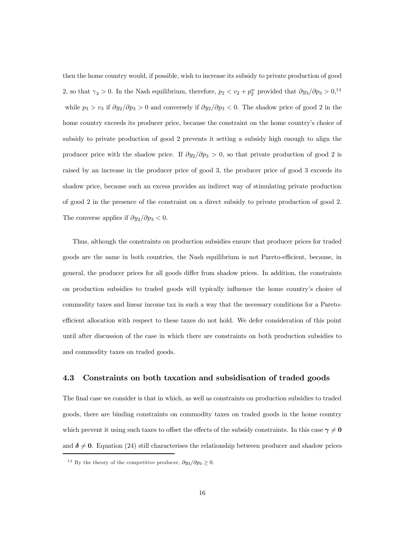then the home country would, if possible, wish to increase its subsidy to private production of good 2, so that  $\gamma_2 > 0$ . In the Nash equilibrium, therefore,  $p_2 < v_2 + p_2^w$  provided that  $\partial y_3 / \partial p_3 > 0$ ,<sup>14</sup> while  $p_3 > v_3$  if  $\partial y_2/\partial p_3 > 0$  and conversely if  $\partial y_2/\partial p_3 < 0$ . The shadow price of good 2 in the home country exceeds its producer price, because the constraint on the home country's choice of subsidy to private production of good 2 prevents it setting a subsidy high enough to align the producer price with the shadow price. If  $\partial y_2/\partial p_3 > 0$ , so that private production of good 2 is raised by an increase in the producer price of good 3, the producer price of good 3 exceeds its shadow price, because such an excess provides an indirect way of stimulating private production of good 2 in the presence of the constraint on a direct subsidy to private production of good 2. The converse applies if  $\partial y_2/\partial p_3 < 0$ .

Thus, although the constraints on production subsidies ensure that producer prices for traded goods are the same in both countries, the Nash equilibrium is not Pareto-efficient, because, in general, the producer prices for all goods differ from shadow prices. In addition, the constraints on production subsidies to traded goods will typically ináuence the home countryís choice of commodity taxes and linear income tax in such a way that the necessary conditions for a Paretoefficient allocation with respect to these taxes do not hold. We defer consideration of this point until after discussion of the case in which there are constraints on both production subsidies to and commodity taxes on traded goods.

#### 4.3 Constraints on both taxation and subsidisation of traded goods

The final case we consider is that in which, as well as constraints on production subsidies to traded goods, there are binding constraints on commodity taxes on traded goods in the home country which prevent it using such taxes to offset the effects of the subsidy constraints. In this case  $\gamma \neq 0$ and  $\delta \neq 0$ . Equation (24) still characterises the relationship between producer and shadow prices

<sup>&</sup>lt;sup>14</sup> By the theory of the competitive producer,  $\partial y_3/\partial p_3 \geq 0$ .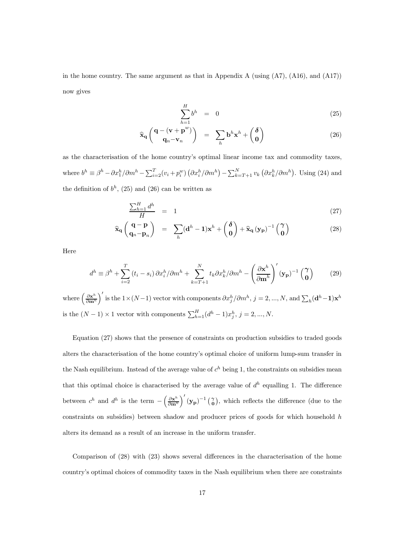in the home country. The same argument as that in Appendix A (using  $(A7)$ ,  $(A16)$ , and  $(A17)$ ) now gives

$$
\sum_{h=1}^{H} b^h = 0 \tag{25}
$$

$$
\widehat{\mathbf{x}}_{\mathbf{q}}\left(\begin{array}{c} \mathbf{q} - (\mathbf{v} + \mathbf{p}^{w}) \\ \mathbf{q}_{n} - \mathbf{v}_{n} \end{array}\right) = \sum_{h} \mathbf{b}^{h} \mathbf{x}^{h} + \begin{pmatrix} \delta \\ \mathbf{0} \end{pmatrix}
$$
\n(26)

as the characterisation of the home countryís optimal linear income tax and commodity taxes, where  $b^h \equiv \beta^h - \partial x_1^h / \partial m^h - \sum_{i=2}^T (v_i + p_i^w)$  $\left(\frac{\partial x_i^h}{\partial m^h}\right) - \sum_{k=T+1}^N v_k$  $(\partial x_k^h / \partial m^h)$ . Using (24) and the definition of  $b^h$ , (25) and (26) can be written as

$$
\frac{\sum_{h=1}^{H} d^h}{H} = 1 \tag{27}
$$

$$
\widehat{\mathbf{x}}_{\mathbf{q}}\begin{pmatrix}\n\mathbf{q}-\mathbf{p} \\
\mathbf{q}_{n}-\mathbf{p}_{n}\n\end{pmatrix} = \sum_{h}(\mathbf{d}^{h}-1)\mathbf{x}^{h} + \begin{pmatrix}\n\delta \\
\mathbf{0}\n\end{pmatrix} + \widehat{\mathbf{x}}_{\mathbf{q}}\left(\mathbf{y}_{\mathbf{p}}\right)^{-1} \begin{pmatrix}\n\gamma \\
\mathbf{0}\n\end{pmatrix}
$$
\n(28)

Here

$$
d^{h} \equiv \beta^{h} + \sum_{i=2}^{T} (t_{i} - s_{i}) \partial x_{i}^{h} / \partial m^{h} + \sum_{k=T+1}^{N} t_{k} \partial x_{k}^{h} / \partial m^{h} - \left(\frac{\partial \mathbf{x}^{h}}{\partial \mathbf{m}^{h}}\right)' (\mathbf{y}_{\mathbf{p}})^{-1} \begin{pmatrix} \gamma \\ \mathbf{0} \end{pmatrix}
$$
 (29)

where  $\left(\frac{\partial \mathbf{x}^h}{\partial \mathbf{m}^h}\right)$  $\sqrt{2}$ is the  $1 \times (N-1)$  vector with components  $\partial x_j^h / \partial m^h$ ,  $j = 2, ..., N$ , and  $\sum_h (\mathbf{d}^h - \mathbf{1}) \mathbf{x}^h$ is the  $(N-1) \times 1$  vector with components  $\sum_{h=1}^{H} (d^h - 1)x_i^h$ ,  $j = 2, ..., N$ .

Equation (27) shows that the presence of constraints on production subsidies to traded goods alters the characterisation of the home countryís optimal choice of uniform lump-sum transfer in the Nash equilibrium. Instead of the average value of  $c<sup>h</sup>$  being 1, the constraints on subsidies mean that this optimal choice is characterised by the average value of  $d^h$  equalling 1. The difference between  $c^h$  and  $d^h$  is the term –  $\left(\frac{\partial \mathbf{x}^h}{\partial \mathbf{m}^h}\right)$  $\frac{1}{2}$  $(\mathbf{y_p})^{-1}$   $\begin{pmatrix} \gamma \\ 0 \end{pmatrix}$ , which reflects the difference (due to the constraints on subsidies) between shadow and producer prices of goods for which household h alters its demand as a result of an increase in the uniform transfer.

Comparison of  $(28)$  with  $(23)$  shows several differences in the characterisation of the home countryís optimal choices of commodity taxes in the Nash equilibrium when there are constraints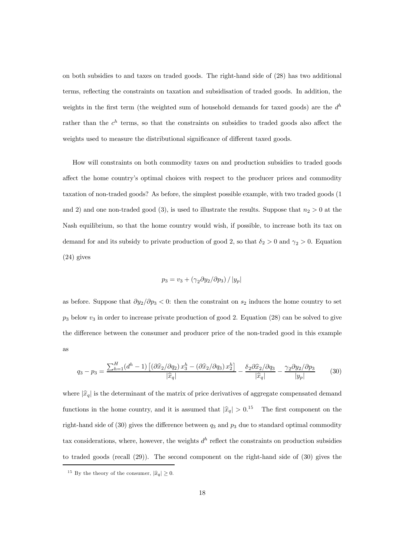on both subsidies to and taxes on traded goods. The right-hand side of (28) has two additional terms, reflecting the constraints on taxation and subsidisation of traded goods. In addition, the weights in the first term (the weighted sum of household demands for taxed goods) are the  $d^h$ rather than the  $c^h$  terms, so that the constraints on subsidies to traded goods also affect the weights used to measure the distributional significance of different taxed goods.

How will constraints on both commodity taxes on and production subsidies to traded goods affect the home country's optimal choices with respect to the producer prices and commodity taxation of non-traded goods? As before, the simplest possible example, with two traded goods (1 and 2) and one non-traded good (3), is used to illustrate the results. Suppose that  $n_2 > 0$  at the Nash equilibrium, so that the home country would wish, if possible, to increase both its tax on demand for and its subsidy to private production of good 2, so that  $\delta_2 > 0$  and  $\gamma_2 > 0$ . Equation (24) gives

$$
p_3 = v_3 + \left(\gamma_2 \partial y_2 / \partial p_3\right) / |y_p|
$$

as before. Suppose that  $\partial y_2/\partial p_3 < 0$ : then the constraint on  $s_2$  induces the home country to set  $p_3$  below  $v_3$  in order to increase private production of good 2. Equation (28) can be solved to give the difference between the consumer and producer price of the non-traded good in this example as

$$
q_3 - p_3 = \frac{\sum_{h=1}^{H} (d^h - 1) \left[ \left( \frac{\partial \hat{x}_2}{\partial q_2} \right) x_3^h - \left( \frac{\partial \hat{x}_2}{\partial q_3} \right) x_2^h \right]}{\left| \hat{x}_q \right|} - \frac{\delta_2 \partial \hat{x}_2}{\left| \hat{x}_q \right|} - \frac{\gamma_2 \partial y_2}{\left| y_p \right|} \tag{30}
$$

where  $|\hat{x}_q|$  is the determinant of the matrix of price derivatives of aggregate compensated demand functions in the home country, and it is assumed that  $|\hat{x}_q| > 0.^{15}$  The first component on the right-hand side of (30) gives the difference between  $q_3$  and  $p_3$  due to standard optimal commodity tax considerations, where, however, the weights  $d^h$  reflect the constraints on production subsidies to traded goods (recall (29)). The second component on the right-hand side of (30) gives the

<sup>&</sup>lt;sup>15</sup> By the theory of the consumer,  $|\hat{x}_q| \ge 0$ .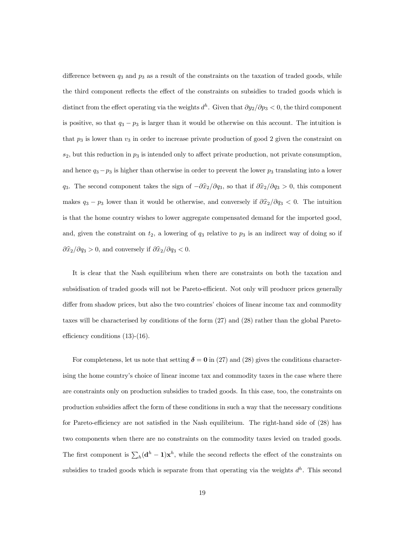difference between  $q_3$  and  $p_3$  as a result of the constraints on the taxation of traded goods, while the third component reflects the effect of the constraints on subsidies to traded goods which is distinct from the effect operating via the weights  $d^h$ . Given that  $\partial y_2/\partial p_3 < 0$ , the third component is positive, so that  $q_3 - p_3$  is larger than it would be otherwise on this account. The intuition is that  $p_3$  is lower than  $v_3$  in order to increase private production of good 2 given the constraint on  $s_2$ , but this reduction in  $p_3$  is intended only to affect private production, not private consumption, and hence  $q_3 - p_3$  is higher than otherwise in order to prevent the lower  $p_3$  translating into a lower  $q_3$ . The second component takes the sign of  $-\partial \hat{x}_2/\partial q_3$ , so that if  $\partial \hat{x}_2/\partial q_3 > 0$ , this component makes  $q_3 - p_3$  lower than it would be otherwise, and conversely if  $\partial \hat{x}_2/\partial q_3 < 0$ . The intuition is that the home country wishes to lower aggregate compensated demand for the imported good, and, given the constraint on  $t_2$ , a lowering of  $q_3$  relative to  $p_3$  is an indirect way of doing so if  $\partial \widehat{x}_2/\partial q_3 > 0$ , and conversely if  $\partial \widehat{x}_2/\partial q_3 < 0$ .

It is clear that the Nash equilibrium when there are constraints on both the taxation and subsidisation of traded goods will not be Pareto-efficient. Not only will producer prices generally differ from shadow prices, but also the two countries' choices of linear income tax and commodity taxes will be characterised by conditions of the form (27) and (28) rather than the global Paretoefficiency conditions  $(13)-(16)$ .

For completeness, let us note that setting  $\delta = 0$  in (27) and (28) gives the conditions characterising the home country's choice of linear income tax and commodity taxes in the case where there are constraints only on production subsidies to traded goods. In this case, too, the constraints on production subsidies affect the form of these conditions in such a way that the necessary conditions for Pareto-efficiency are not satisfied in the Nash equilibrium. The right-hand side of  $(28)$  has two components when there are no constraints on the commodity taxes levied on traded goods. The first component is  $\sum_h(\mathbf{d}^h - \mathbf{1})\mathbf{x}^h$ , while the second reflects the effect of the constraints on subsidies to traded goods which is separate from that operating via the weights  $d^h$ . This second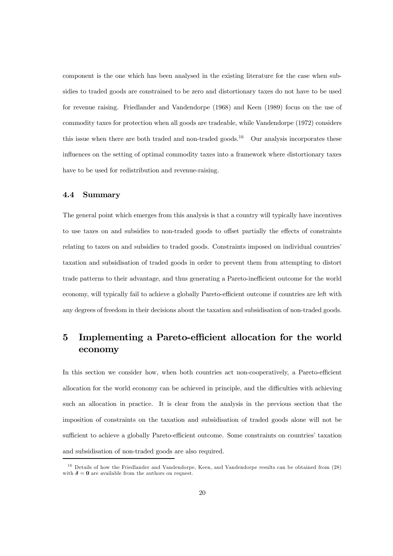component is the one which has been analysed in the existing literature for the case when subsidies to traded goods are constrained to be zero and distortionary taxes do not have to be used for revenue raising. Friedlander and Vandendorpe (1968) and Keen (1989) focus on the use of commodity taxes for protection when all goods are tradeable, while Vandendorpe (1972) considers this issue when there are both traded and non-traded goods.<sup>16</sup> Our analysis incorporates these influences on the setting of optimal commodity taxes into a framework where distortionary taxes have to be used for redistribution and revenue-raising.

#### 4.4 Summary

The general point which emerges from this analysis is that a country will typically have incentives to use taxes on and subsidies to non-traded goods to offset partially the effects of constraints relating to taxes on and subsidies to traded goods. Constraints imposed on individual countries' taxation and subsidisation of traded goods in order to prevent them from attempting to distort trade patterns to their advantage, and thus generating a Pareto-inefficient outcome for the world economy, will typically fail to achieve a globally Pareto-efficient outcome if countries are left with any degrees of freedom in their decisions about the taxation and subsidisation of non-traded goods.

## 5 Implementing a Pareto-efficient allocation for the world economy

In this section we consider how, when both countries act non-cooperatively, a Pareto-efficient allocation for the world economy can be achieved in principle, and the difficulties with achieving such an allocation in practice. It is clear from the analysis in the previous section that the imposition of constraints on the taxation and subsidisation of traded goods alone will not be sufficient to achieve a globally Pareto-efficient outcome. Some constraints on countries' taxation and subsidisation of non-traded goods are also required.

<sup>&</sup>lt;sup>16</sup> Details of how the Friedlander and Vandendorpe, Keen, and Vandendorpe results can be obtained from (28) with  $\delta = 0$  are available from the authors on request.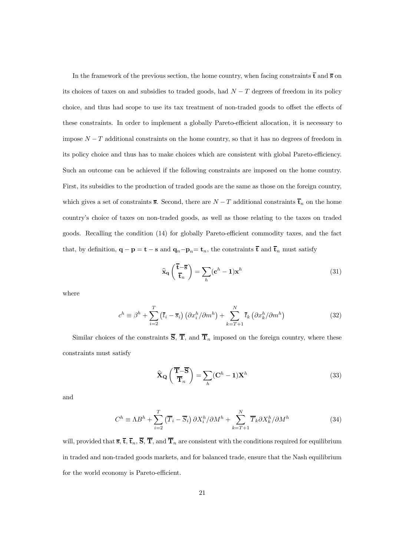In the framework of the previous section, the home country, when facing constraints  $\bar{t}$  and  $\bar{s}$  on its choices of taxes on and subsidies to traded goods, had  $N-T$  degrees of freedom in its policy choice, and thus had scope to use its tax treatment of non-traded goods to offset the effects of these constraints. In order to implement a globally Pareto-efficient allocation, it is necessary to impose  $N-T$  additional constraints on the home country, so that it has no degrees of freedom in its policy choice and thus has to make choices which are consistent with global Pareto-efficiency. Such an outcome can be achieved if the following constraints are imposed on the home country. First, its subsidies to the production of traded goods are the same as those on the foreign country, which gives a set of constraints  $\overline{s}$ . Second, there are  $N-T$  additional constraints  $\overline{t}_n$  on the home countryís choice of taxes on non-traded goods, as well as those relating to the taxes on traded goods. Recalling the condition (14) for globally Pareto-efficient commodity taxes, and the fact that, by definition,  $\mathbf{q} - \mathbf{p} = \mathbf{t} - \mathbf{s}$  and  $\mathbf{q}_n - \mathbf{p}_n = \mathbf{t}_n$ , the constraints  $\mathbf{\bar{t}}$  and  $\mathbf{\bar{t}}_n$  must satisfy

$$
\widehat{\mathbf{x}}_{\mathbf{q}}\left(\frac{\overline{\mathbf{t}}-\overline{\mathbf{s}}}{\overline{\mathbf{t}}_{n}}\right) = \sum_{h} (\mathbf{c}^{h} - \mathbf{1}) \mathbf{x}^{h}
$$
\n(31)

where

$$
c^{h} \equiv \beta^{h} + \sum_{i=2}^{T} \left(\overline{t}_{i} - \overline{s}_{i}\right) \left(\partial x_{i}^{h} / \partial m^{h}\right) + \sum_{k=T+1}^{N} \overline{t}_{k} \left(\partial x_{k}^{h} / \partial m^{h}\right)
$$
(32)

Similar choices of the constraints  $\overline{S}$ ,  $\overline{T}$ , and  $\overline{T}_n$  imposed on the foreign country, where these constraints must satisfy

$$
\widehat{\mathbf{X}}_{\mathbf{Q}}\left(\frac{\overline{\mathbf{T}}-\overline{\mathbf{S}}}{\overline{\mathbf{T}}_{n}}\right)=\sum_{h}(\mathbf{C}^{h}-1)\mathbf{X}^{h}
$$
\n(33)

and

$$
C^h \equiv \Lambda B^h + \sum_{i=2}^T (\overline{T}_i - \overline{S}_i) \, \partial X_i^h / \partial M^h + \sum_{k=T+1}^N \overline{T}_k \partial X_k^h / \partial M^h \tag{34}
$$

will, provided that  $\overline{s}, \overline{t}, \overline{t}_n, \overline{S}, \overline{T}$ , and  $\overline{T}_n$  are consistent with the conditions required for equilibrium in traded and non-traded goods markets, and for balanced trade, ensure that the Nash equilibrium for the world economy is Pareto-efficient.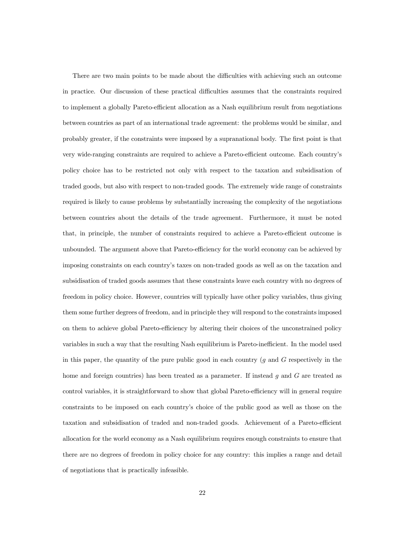There are two main points to be made about the difficulties with achieving such an outcome in practice. Our discussion of these practical difficulties assumes that the constraints required to implement a globally Pareto-efficient allocation as a Nash equilibrium result from negotiations between countries as part of an international trade agreement: the problems would be similar, and probably greater, if the constraints were imposed by a supranational body. The first point is that very wide-ranging constraints are required to achieve a Pareto-efficient outcome. Each country's policy choice has to be restricted not only with respect to the taxation and subsidisation of traded goods, but also with respect to non-traded goods. The extremely wide range of constraints required is likely to cause problems by substantially increasing the complexity of the negotiations between countries about the details of the trade agreement. Furthermore, it must be noted that, in principle, the number of constraints required to achieve a Pareto-efficient outcome is unbounded. The argument above that Pareto-efficiency for the world economy can be achieved by imposing constraints on each countryís taxes on non-traded goods as well as on the taxation and subsidisation of traded goods assumes that these constraints leave each country with no degrees of freedom in policy choice. However, countries will typically have other policy variables, thus giving them some further degrees of freedom, and in principle they will respond to the constraints imposed on them to achieve global Pareto-efficiency by altering their choices of the unconstrained policy variables in such a way that the resulting Nash equilibrium is Pareto-inefficient. In the model used in this paper, the quantity of the pure public good in each country  $(g \text{ and } G$  respectively in the home and foreign countries) has been treated as a parameter. If instead  $g$  and  $G$  are treated as control variables, it is straightforward to show that global Pareto-efficiency will in general require constraints to be imposed on each country's choice of the public good as well as those on the taxation and subsidisation of traded and non-traded goods. Achievement of a Pareto-efficient allocation for the world economy as a Nash equilibrium requires enough constraints to ensure that there are no degrees of freedom in policy choice for any country: this implies a range and detail of negotiations that is practically infeasible.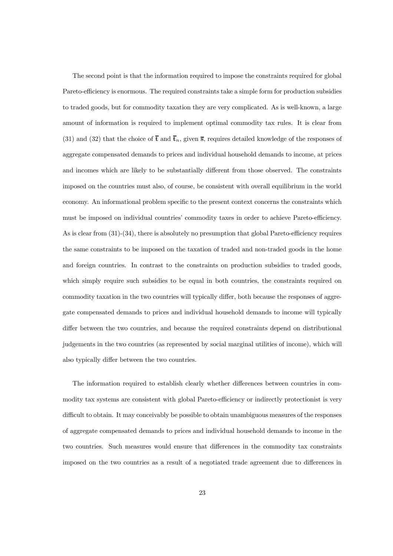The second point is that the information required to impose the constraints required for global Pareto-efficiency is enormous. The required constraints take a simple form for production subsidies to traded goods, but for commodity taxation they are very complicated. As is well-known, a large amount of information is required to implement optimal commodity tax rules. It is clear from (31) and (32) that the choice of  $\bar{t}$  and  $\bar{t}_n$ , given  $\bar{s}$ , requires detailed knowledge of the responses of aggregate compensated demands to prices and individual household demands to income, at prices and incomes which are likely to be substantially different from those observed. The constraints imposed on the countries must also, of course, be consistent with overall equilibrium in the world economy. An informational problem specific to the present context concerns the constraints which must be imposed on individual countries' commodity taxes in order to achieve Pareto-efficiency. As is clear from  $(31)-(34)$ , there is absolutely no presumption that global Pareto-efficiency requires the same constraints to be imposed on the taxation of traded and non-traded goods in the home and foreign countries. In contrast to the constraints on production subsidies to traded goods, which simply require such subsidies to be equal in both countries, the constraints required on commodity taxation in the two countries will typically differ, both because the responses of aggregate compensated demands to prices and individual household demands to income will typically differ between the two countries, and because the required constraints depend on distributional judgements in the two countries (as represented by social marginal utilities of income), which will also typically differ between the two countries.

The information required to establish clearly whether differences between countries in commodity tax systems are consistent with global Pareto-efficiency or indirectly protectionist is very difficult to obtain. It may conceivably be possible to obtain unambiguous measures of the responses of aggregate compensated demands to prices and individual household demands to income in the two countries. Such measures would ensure that differences in the commodity tax constraints imposed on the two countries as a result of a negotiated trade agreement due to differences in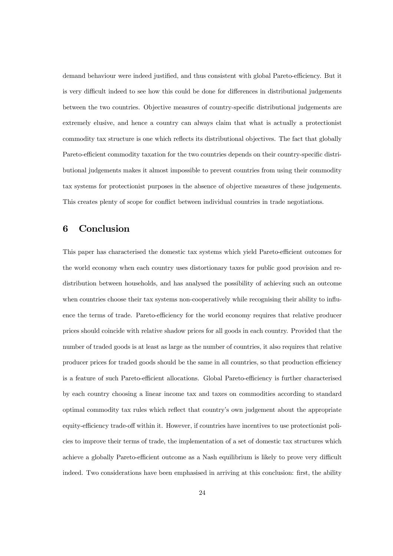demand behaviour were indeed justified, and thus consistent with global Pareto-efficiency. But it is very difficult indeed to see how this could be done for differences in distributional judgements between the two countries. Objective measures of country-specific distributional judgements are extremely elusive, and hence a country can always claim that what is actually a protectionist commodity tax structure is one which reflects its distributional objectives. The fact that globally Pareto-efficient commodity taxation for the two countries depends on their country-specific distributional judgements makes it almost impossible to prevent countries from using their commodity tax systems for protectionist purposes in the absence of objective measures of these judgements. This creates plenty of scope for conflict between individual countries in trade negotiations.

## 6 Conclusion

This paper has characterised the domestic tax systems which yield Pareto-efficient outcomes for the world economy when each country uses distortionary taxes for public good provision and redistribution between households, and has analysed the possibility of achieving such an outcome when countries choose their tax systems non-cooperatively while recognising their ability to influence the terms of trade. Pareto-efficiency for the world economy requires that relative producer prices should coincide with relative shadow prices for all goods in each country. Provided that the number of traded goods is at least as large as the number of countries, it also requires that relative producer prices for traded goods should be the same in all countries, so that production efficiency is a feature of such Pareto-efficient allocations. Global Pareto-efficiency is further characterised by each country choosing a linear income tax and taxes on commodities according to standard optimal commodity tax rules which reflect that country's own judgement about the appropriate equity-efficiency trade-off within it. However, if countries have incentives to use protectionist policies to improve their terms of trade, the implementation of a set of domestic tax structures which achieve a globally Pareto-efficient outcome as a Nash equilibrium is likely to prove very difficult indeed. Two considerations have been emphasised in arriving at this conclusion: first, the ability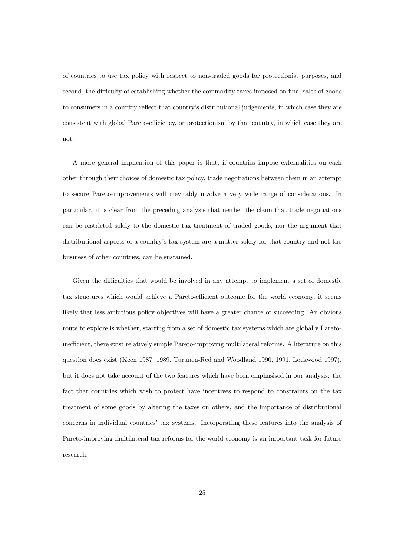of countries to use tax policy with respect to non-traded goods for protectionist purposes, and second, the difficulty of establishing whether the commodity taxes imposed on final sales of goods to consumers in a country reflect that country's distributional judgements, in which case they are consistent with global Pareto-efficiency, or protectionism by that country, in which case they are not.

A more general implication of this paper is that, if countries impose externalities on each other through their choices of domestic tax policy, trade negotiations between them in an attempt to secure Pareto-improvements will inevitably involve a very wide range of considerations. In particular, it is clear from the preceding analysis that neither the claim that trade negotiations can be restricted solely to the domestic tax treatment of traded goods, nor the argument that distributional aspects of a country's tax system are a matter solely for that country and not the business of other countries, can be sustained.

Given the difficulties that would be involved in any attempt to implement a set of domestic tax structures which would achieve a Pareto-efficient outcome for the world economy, it seems likely that less ambitious policy objectives will have a greater chance of succeeding. An obvious route to explore is whether, starting from a set of domestic tax systems which are globally Paretoinefficient, there exist relatively simple Pareto-improving multilateral reforms. A literature on this question does exist (Keen 1987, 1989, Turunen-Red and Woodland 1990, 1991, Lockwood 1997), but it does not take account of the two features which have been emphasised in our analysis: the fact that countries which wish to protect have incentives to respond to constraints on the tax treatment of some goods by altering the taxes on others, and the importance of distributional concerns in individual countriesí tax systems. Incorporating these features into the analysis of Pareto-improving multilateral tax reforms for the world economy is an important task for future research.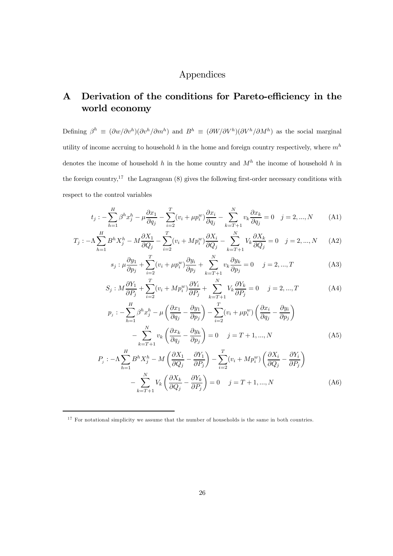## Appendices

## A Derivation of the conditions for Pareto-efficiency in the world economy

Defining  $\beta^h \equiv (\partial w/\partial v^h)(\partial v^h/\partial m^h)$  and  $B^h \equiv (\partial W/\partial V^h)(\partial V^h/\partial M^h)$  as the social marginal utility of income accruing to household  $h$  in the home and foreign country respectively, where  $m<sup>h</sup>$ denotes the income of household h in the home country and  $M<sup>h</sup>$  the income of household h in the foreign country,<sup>17</sup> the Lagrangean  $(8)$  gives the following first-order necessary conditions with respect to the control variables

$$
t_j: -\sum_{h=1}^H \beta^h x_j^h - \mu \frac{\partial x_1}{\partial q_j} - \sum_{i=2}^T (v_i + \mu p_i^w) \frac{\partial x_i}{\partial q_j} - \sum_{k=T+1}^N v_k \frac{\partial x_k}{\partial q_j} = 0 \quad j = 2, ..., N
$$
 (A1)

$$
T_j: -\Lambda \sum_{h=1}^H B^h X_j^h - M \frac{\partial X_1}{\partial Q_j} - \sum_{i=2}^T (v_i + M p_i^w) \frac{\partial X_i}{\partial Q_j} - \sum_{k=T+1}^N V_k \frac{\partial X_k}{\partial Q_j} = 0 \quad j = 2, ..., N \tag{A2}
$$

$$
s_j : \mu \frac{\partial y_1}{\partial p_j} + \sum_{i=2}^T (v_i + \mu p_i^w) \frac{\partial y_i}{\partial p_j} + \sum_{k=T+1}^N v_k \frac{\partial y_k}{\partial p_j} = 0 \quad j = 2, ..., T
$$
 (A3)

$$
S_j: M\frac{\partial Y_1}{\partial P_j} + \sum_{i=2}^T (v_i + Mp_i^w) \frac{\partial Y_i}{\partial P_j} + \sum_{k=T+1}^N V_k \frac{\partial Y_k}{\partial P_j} = 0 \quad j = 2, ..., T
$$
 (A4)

$$
p_j := \sum_{h=1}^H \beta^h x_j^h - \mu \left( \frac{\partial x_1}{\partial q_j} - \frac{\partial y_1}{\partial p_j} \right) - \sum_{i=2}^T (v_i + \mu p_i^w) \left( \frac{\partial x_i}{\partial q_j} - \frac{\partial y_i}{\partial p_j} \right)
$$

$$
- \sum_{k=T+1}^N v_k \left( \frac{\partial x_k}{\partial q_j} - \frac{\partial y_k}{\partial p_j} \right) = 0 \quad j = T+1, ..., N
$$
(A5)

$$
P_j: -\Lambda \sum_{h=1}^H B^h X_j^h - M \left( \frac{\partial X_1}{\partial Q_j} - \frac{\partial Y_1}{\partial P_j} \right) - \sum_{i=2}^T (v_i + M p_i^w) \left( \frac{\partial X_i}{\partial Q_j} - \frac{\partial Y_i}{\partial P_j} \right)
$$

$$
- \sum_{k=T+1}^N V_k \left( \frac{\partial X_k}{\partial Q_j} - \frac{\partial Y_k}{\partial P_j} \right) = 0 \quad j = T+1, ..., N
$$
(A6)

<sup>&</sup>lt;sup>17</sup> For notational simplicity we assume that the number of households is the same in both countries.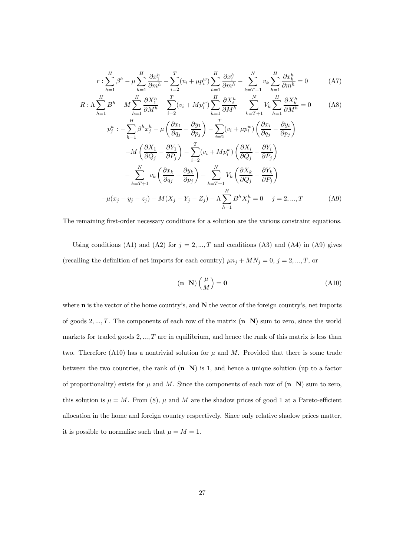$$
r: \sum_{h=1}^{H} \beta^h - \mu \sum_{h=1}^{H} \frac{\partial x_1^h}{\partial m^h} - \sum_{i=2}^{T} (v_i + \mu p_i^w) \sum_{h=1}^{H} \frac{\partial x_i^h}{\partial m^h} - \sum_{k=T+1}^{N} v_k \sum_{h=1}^{H} \frac{\partial x_k^h}{\partial m^h} = 0
$$
 (A7)

$$
R: \Lambda \sum_{h=1}^{H} B^{h} - M \sum_{h=1}^{H} \frac{\partial X_{1}^{h}}{\partial M^{h}} - \sum_{i=2}^{T} (v_{i} + M p_{i}^{w}) \sum_{h=1}^{H} \frac{\partial X_{i}^{h}}{\partial M^{h}} - \sum_{k=T+1}^{N} V_{k} \sum_{h=1}^{H} \frac{\partial X_{k}^{h}}{\partial M^{h}} = 0 \qquad (A8)
$$
  
\n
$$
p_{j}^{w} : - \sum_{h=1}^{H} \beta^{h} x_{j}^{h} - \mu \left( \frac{\partial x_{1}}{\partial q_{j}} - \frac{\partial y_{1}}{\partial p_{j}} \right) - \sum_{i=2}^{T} (v_{i} + \mu p_{i}^{w}) \left( \frac{\partial x_{i}}{\partial q_{j}} - \frac{\partial y_{i}}{\partial p_{j}} \right)
$$
\n
$$
-M \left( \frac{\partial X_{1}}{\partial Q_{j}} - \frac{\partial Y_{1}}{\partial P_{j}} \right) - \sum_{i=2}^{T} (v_{i} + M p_{i}^{w}) \left( \frac{\partial X_{i}}{\partial Q_{j}} - \frac{\partial Y_{i}}{\partial P_{j}} \right)
$$
\n
$$
- \sum_{k=T+1}^{N} v_{k} \left( \frac{\partial x_{k}}{\partial q_{j}} - \frac{\partial y_{k}}{\partial p_{j}} \right) - \sum_{k=T+1}^{N} V_{k} \left( \frac{\partial X_{k}}{\partial Q_{j}} - \frac{\partial Y_{k}}{\partial P_{j}} \right)
$$
\n
$$
- \mu(x_{j} - y_{j} - z_{j}) - M(X_{j} - Y_{j} - Z_{j}) - \Lambda \sum_{h=1}^{H} B^{h} X_{j}^{h} = 0 \qquad j = 2, ..., T \qquad (A9)
$$

The remaining first-order necessary conditions for a solution are the various constraint equations.

Using conditions (A1) and (A2) for  $j = 2, ..., T$  and conditions (A3) and (A4) in (A9) gives (recalling the definition of net imports for each country)  $\mu n_j + M N_j = 0, j = 2, ..., T$ , or

$$
(\mathbf{n} \ \mathbf{N})\begin{pmatrix} \mu \\ M \end{pmatrix} = \mathbf{0} \tag{A10}
$$

where  $\bf{n}$  is the vector of the home country's, and  $\bf{N}$  the vector of the foreign country's, net imports of goods  $2, ..., T$ . The components of each row of the matrix  $(\mathbf{n} \cdot \mathbf{N})$  sum to zero, since the world markets for traded goods  $2, ..., T$  are in equilibrium, and hence the rank of this matrix is less than two. Therefore (A10) has a nontrivial solution for  $\mu$  and M. Provided that there is some trade between the two countries, the rank of  $(n \ N)$  is 1, and hence a unique solution (up to a factor of proportionality) exists for  $\mu$  and M. Since the components of each row of  $(\mathbf{n} \ \mathbf{N})$  sum to zero, this solution is  $\mu = M$ . From (8),  $\mu$  and M are the shadow prices of good 1 at a Pareto-efficient allocation in the home and foreign country respectively. Since only relative shadow prices matter, it is possible to normalise such that  $\mu = M = 1$ .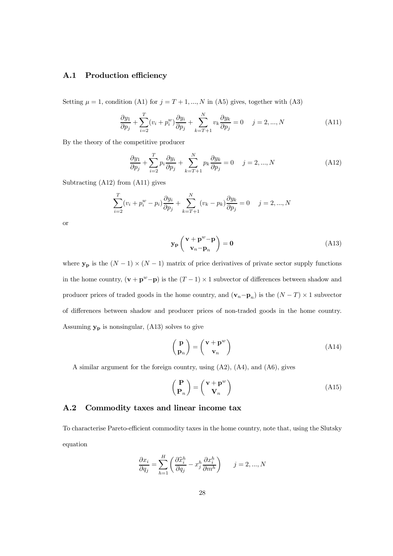#### A.1 Production efficiency

Setting  $\mu = 1$ , condition (A1) for  $j = T + 1, ..., N$  in (A5) gives, together with (A3)

$$
\frac{\partial y_1}{\partial p_j} + \sum_{i=2}^T (v_i + p_i^w) \frac{\partial y_i}{\partial p_j} + \sum_{k=T+1}^N v_k \frac{\partial y_k}{\partial p_j} = 0 \quad j = 2, ..., N
$$
 (A11)

By the theory of the competitive producer

$$
\frac{\partial y_1}{\partial p_j} + \sum_{i=2}^T p_i \frac{\partial y_i}{\partial p_j} + \sum_{k=T+1}^N p_k \frac{\partial y_k}{\partial p_j} = 0 \quad j = 2, ..., N
$$
 (A12)

Subtracting (A12) from (A11) gives

$$
\sum_{i=2}^{T} (v_i + p_i^w - p_i) \frac{\partial y_i}{\partial p_j} + \sum_{k=T+1}^{N} (v_k - p_k) \frac{\partial y_k}{\partial p_j} = 0 \quad j = 2, ..., N
$$

or

$$
\mathbf{y}_{\mathbf{p}} \begin{pmatrix} \mathbf{v} + \mathbf{p}^{w} - \mathbf{p} \\ \mathbf{v}_{n} - \mathbf{p}_{n} \end{pmatrix} = \mathbf{0}
$$
 (A13)

where  $y_p$  is the  $(N-1) \times (N-1)$  matrix of price derivatives of private sector supply functions in the home country,  $(\mathbf{v} + \mathbf{p}^{w} - \mathbf{p})$  is the  $(T - 1) \times 1$  subvector of differences between shadow and producer prices of traded goods in the home country, and  $(\mathbf{v}_n - \mathbf{p}_n)$  is the  $(N - T) \times 1$  subvector of differences between shadow and producer prices of non-traded goods in the home country. Assuming  $y_p$  is nonsingular, (A13) solves to give

$$
\begin{pmatrix} \mathbf{p} \\ \mathbf{p}_n \end{pmatrix} = \begin{pmatrix} \mathbf{v} + \mathbf{p}^w \\ \mathbf{v}_n \end{pmatrix}
$$
 (A14)

A similar argument for the foreign country, using (A2), (A4), and (A6), gives

$$
\begin{pmatrix} \mathbf{P} \\ \mathbf{P}_n \end{pmatrix} = \begin{pmatrix} \mathbf{v} + \mathbf{p}^w \\ \mathbf{V}_n \end{pmatrix}
$$
 (A15)

#### A.2 Commodity taxes and linear income tax

To characterise Pareto-efficient commodity taxes in the home country, note that, using the Slutsky equation

$$
\frac{\partial x_i}{\partial q_j} = \sum_{h=1}^{H} \left( \frac{\partial \hat{x}_i^h}{\partial q_j} - x_j^h \frac{\partial x_i^h}{\partial m^h} \right) \qquad j = 2, ..., N
$$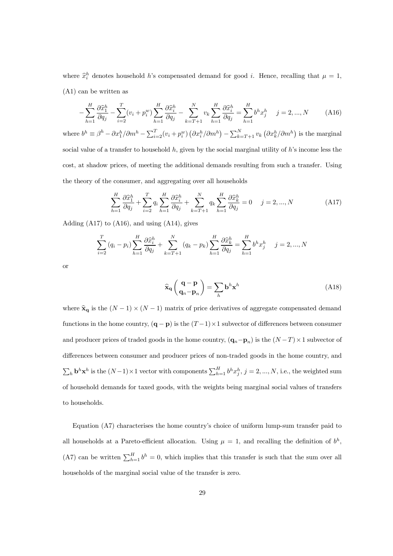where  $\hat{x}_i^h$  denotes household h's compensated demand for good i. Hence, recalling that  $\mu = 1$ , (A1) can be written as

$$
-\sum_{h=1}^{H} \frac{\partial \widehat{x}_1^h}{\partial q_j} - \sum_{i=2}^{T} (v_i + p_i^w) \sum_{h=1}^{H} \frac{\partial \widehat{x}_i^h}{\partial q_j} - \sum_{k=T+1}^{N} v_k \sum_{h=1}^{H} \frac{\partial \widehat{x}_i^h}{\partial q_j} = \sum_{h=1}^{H} b^h x_j^h \quad j = 2, ..., N
$$
 (A16)

where  $b^h \equiv \beta^h - \partial x_1^h / \partial m^h - \sum_{i=2}^T (v_i + p_i^w)$  $\left(\frac{\partial x_i^h}{\partial m^h}\right) - \sum_{k=T+1}^N v_k$  $\left(\frac{\partial x_k^h}{\partial m^h}\right)$  is the marginal social value of a transfer to household  $h$ , given by the social marginal utility of  $h$ 's income less the cost, at shadow prices, of meeting the additional demands resulting from such a transfer. Using the theory of the consumer, and aggregating over all households

$$
\sum_{h=1}^{H} \frac{\partial \hat{x}_1^h}{\partial q_j} + \sum_{i=2}^{T} q_i \sum_{h=1}^{H} \frac{\partial \hat{x}_i^h}{\partial q_j} + \sum_{k=T+1}^{N} q_k \sum_{h=1}^{H} \frac{\partial \hat{x}_k^h}{\partial q_j} = 0 \quad j = 2, ..., N
$$
 (A17)

Adding  $(A17)$  to  $(A16)$ , and using  $(A14)$ , gives

$$
\sum_{i=2}^{T} (q_i - p_i) \sum_{h=1}^{H} \frac{\partial \hat{x}_i^h}{\partial q_j} + \sum_{k=T+1}^{N} (q_k - p_k) \sum_{h=1}^{H} \frac{\partial \hat{x}_k^h}{\partial q_j} = \sum_{h=1}^{H} b^h x_j^h \quad j = 2, ..., N
$$

or

$$
\widehat{\mathbf{x}}_{\mathbf{q}}\begin{pmatrix}\mathbf{q}-\mathbf{p} \\ \mathbf{q}_{n}-\mathbf{p}_{n}\end{pmatrix} = \sum_{h} \mathbf{b}^{h} \mathbf{x}^{h}
$$
\n(A18)

where  $\hat{\mathbf{x}}_{\mathbf{q}}$  is the  $(N - 1) \times (N - 1)$  matrix of price derivatives of aggregate compensated demand functions in the home country,  $(\mathbf{q} - \mathbf{p})$  is the  $(T - 1) \times 1$  subvector of differences between consumer and producer prices of traded goods in the home country,  $(q_n-p_n)$  is the  $(N-T)\times 1$  subvector of differences between consumer and producer prices of non-traded goods in the home country, and  $\sum_h \mathbf{b}^h \mathbf{x}^h$  is the  $(N-1) \times 1$  vector with components  $\sum_{h=1}^H b^h x_i^h$ ,  $j = 2, ..., N$ , i.e., the weighted sum of household demands for taxed goods, with the weights being marginal social values of transfers to households.

Equation (A7) characterises the home country's choice of uniform lump-sum transfer paid to all households at a Pareto-efficient allocation. Using  $\mu = 1$ , and recalling the definition of  $b^h$ , (A7) can be written  $\sum_{h=1}^{H} b^h = 0$ , which implies that this transfer is such that the sum over all households of the marginal social value of the transfer is zero.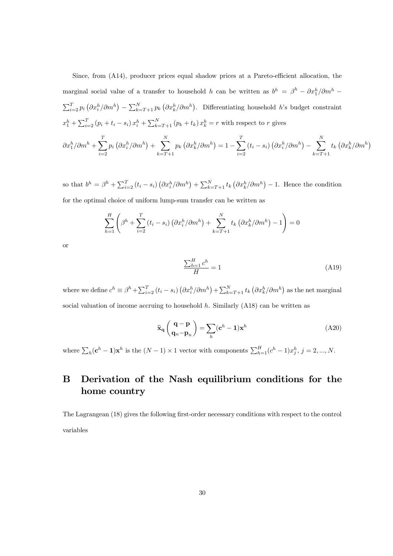Since, from  $(A14)$ , producer prices equal shadow prices at a Pareto-efficient allocation, the marginal social value of a transfer to household h can be written as  $b^h = \beta^h - \partial x_1^h / \partial m^h$  $\sum_{i=2}^{T} p_i$  $\left(\frac{\partial x_i^h}{\partial m^h}\right) - \sum_{k=T+1}^N p_k$  $(\partial x_k^h / \partial m^h)$ . Differentiating household h's budget constraint  $x_1^h + \sum_{i=2}^T (p_i + t_i - s_i) x_i^h + \sum_{k=T+1}^N (p_k + t_k) x_k^h = r$  with respect to r gives

$$
\partial x_1^h / \partial m^h + \sum_{i=2}^T p_i \left( \partial x_i^h / \partial m^h \right) + \sum_{k=T+1}^N p_k \left( \partial x_k^h / \partial m^h \right) = 1 - \sum_{i=2}^T \left( t_i - s_i \right) \left( \partial x_i^h / \partial m^h \right) - \sum_{k=T+1}^N t_k \left( \partial x_k^h / \partial m^h \right)
$$

so that  $b^h = \beta^h + \sum_{i=2}^T (t_i - s_i)$  $\left(\frac{\partial x_i^h}{\partial m^h}\right) + \sum_{k=T+1}^N t_k$  $\left(\frac{\partial x_k^h}{\partial m^h}\right) - 1$ . Hence the condition for the optimal choice of uniform lump-sum transfer can be written as

$$
\sum_{h=1}^{H} \left( \beta^h + \sum_{i=2}^{T} \left( t_i - s_i \right) \left( \frac{\partial x_i^h}{\partial m^h} \right) + \sum_{k=T+1}^{N} t_k \left( \frac{\partial x_k^h}{\partial m^h} \right) - 1 \right) = 0
$$

or

$$
\frac{\sum_{h=1}^{H} c^h}{H} = 1\tag{A19}
$$

where we define  $c^h \equiv \beta^h + \sum_{i=2}^T (t_i - s_i)$  $\left(\frac{\partial x_i^h}{\partial m^h}\right) + \sum_{k=T+1}^N t_k$  $\left(\frac{\partial x_k^h}{\partial m^h}\right)$  as the net marginal social valuation of income accruing to household  $h$ . Similarly  $(A18)$  can be written as

$$
\widehat{\mathbf{x}}_{\mathbf{q}}\begin{pmatrix}\mathbf{q}-\mathbf{p} \\ \mathbf{q}_n-\mathbf{p}_n\end{pmatrix} = \sum_{h} (\mathbf{c}^h - \mathbf{1})\mathbf{x}^h
$$
\n(A20)

where  $\sum_h(\mathbf{c}^h - \mathbf{1})\mathbf{x}^h$  is the  $(N-1) \times 1$  vector with components  $\sum_{h=1}^H (c^h - 1)x_i^h$ ,  $j = 2, ..., N$ .

## B Derivation of the Nash equilibrium conditions for the home country

The Lagrangean (18) gives the following first-order necessary conditions with respect to the control variables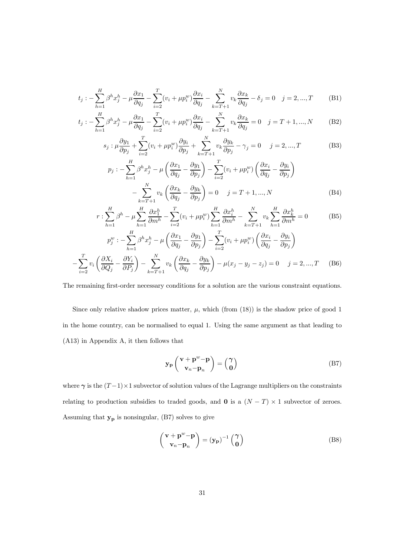$$
t_j: -\sum_{h=1}^H \beta^h x_j^h - \mu \frac{\partial x_1}{\partial q_j} - \sum_{i=2}^T (v_i + \mu p_i^w) \frac{\partial x_i}{\partial q_j} - \sum_{k=T+1}^N v_k \frac{\partial x_k}{\partial q_j} - \delta_j = 0 \quad j = 2, ..., T
$$
 (B1)

$$
t_j: -\sum_{h=1}^H \beta^h x_j^h - \mu \frac{\partial x_1}{\partial q_j} - \sum_{i=2}^T (v_i + \mu p_i^w) \frac{\partial x_i}{\partial q_j} - \sum_{k=T+1}^N v_k \frac{\partial x_k}{\partial q_j} = 0 \quad j = T+1, ..., N
$$
 (B2)

$$
s_j : \mu \frac{\partial y_1}{\partial p_j} + \sum_{i=2}^T (v_i + \mu p_i^w) \frac{\partial y_i}{\partial p_j} + \sum_{k=T+1}^N v_k \frac{\partial y_k}{\partial p_j} - \gamma_j = 0 \quad j = 2, ..., T
$$
 (B3)

$$
p_j: -\sum_{h=1}^H \beta^h x_j^h - \mu \left( \frac{\partial x_1}{\partial q_j} - \frac{\partial y_1}{\partial p_j} \right) - \sum_{i=2}^T (v_i + \mu p_i^w) \left( \frac{\partial x_i}{\partial q_j} - \frac{\partial y_i}{\partial p_j} \right)
$$

$$
- \sum_{k=T+1}^N v_k \left( \frac{\partial x_k}{\partial q_j} - \frac{\partial y_k}{\partial p_j} \right) = 0 \quad j = T+1, ..., N
$$
(B4)

$$
r: \sum_{h=1}^{H} \beta^h - \mu \sum_{h=1}^{H} \frac{\partial x_1^h}{\partial m^h} - \sum_{i=2}^{T} (v_i + \mu p_i^w) \sum_{h=1}^{H} \frac{\partial x_i^h}{\partial m^h} - \sum_{k=T+1}^{N} v_k \sum_{h=1}^{H} \frac{\partial x_k^h}{\partial m^h} = 0
$$
(B5)  

$$
p_j^w: - \sum_{h=1}^{H} \beta^h x_j^h - \mu \left( \frac{\partial x_1}{\partial q_j} - \frac{\partial y_1}{\partial p_j} \right) - \sum_{i=2}^{T} (v_i + \mu p_i^w) \left( \frac{\partial x_i}{\partial q_j} - \frac{\partial y_i}{\partial p_j} \right)
$$
  

$$
\alpha \left( \partial X_i \quad \partial Y_i \right) = \sum_{h=1}^{N} \left( \partial x_k \quad \partial y_k \right) \qquad (2.2)
$$

$$
-\sum_{i=2}^{T} v_i \left(\frac{\partial X_i}{\partial Q_j} - \frac{\partial Y_i}{\partial P_j}\right) - \sum_{k=T+1}^{N} v_k \left(\frac{\partial x_k}{\partial q_j} - \frac{\partial y_k}{\partial p_j}\right) - \mu(x_j - y_j - z_j) = 0 \quad j = 2, ..., T \quad (B6)
$$

The remaining first-order necessary conditions for a solution are the various constraint equations.

Since only relative shadow prices matter,  $\mu$ , which (from (18)) is the shadow price of good 1 in the home country, can be normalised to equal 1. Using the same argument as that leading to (A13) in Appendix A, it then follows that

$$
\mathbf{y}_{\mathbf{p}} \begin{pmatrix} \mathbf{v} + \mathbf{p}^{w} - \mathbf{p} \\ \mathbf{v}_{n} - \mathbf{p}_{n} \end{pmatrix} = \begin{pmatrix} \gamma \\ \mathbf{0} \end{pmatrix}
$$
 (B7)

where  $\gamma$  is the  $(T-1) \times 1$  subvector of solution values of the Lagrange multipliers on the constraints relating to production subsidies to traded goods, and  $\mathbf{0}$  is a  $(N - T) \times 1$  subvector of zeroes. Assuming that  $y_p$  is nonsingular, (B7) solves to give

$$
\begin{pmatrix} \mathbf{v} + \mathbf{p}^{w} - \mathbf{p} \\ \mathbf{v}_{n} - \mathbf{p}_{n} \end{pmatrix} = (\mathbf{y}_{\mathbf{p}})^{-1} \begin{pmatrix} \gamma \\ \mathbf{0} \end{pmatrix}
$$
 (B8)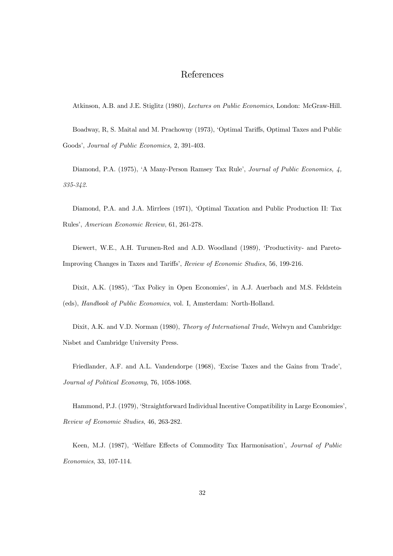### References

Atkinson, A.B. and J.E. Stiglitz (1980), Lectures on Public Economics, London: McGraw-Hill.

Boadway, R, S. Maital and M. Prachowny (1973), 'Optimal Tariffs, Optimal Taxes and Public Goods', Journal of Public Economics, 2, 391-403.

Diamond, P.A. (1975), 'A Many-Person Ramsey Tax Rule', Journal of Public Economics, 4, 335-342.

Diamond, P.A. and J.A. Mirrlees (1971), ëOptimal Taxation and Public Production II: Tax Rulesí, American Economic Review, 61, 261-278.

Diewert, W.E., A.H. Turunen-Red and A.D. Woodland (1989), ëProductivity- and Pareto-Improving Changes in Taxes and Tariffs', Review of Economic Studies, 56, 199-216.

Dixit, A.K. (1985), 'Tax Policy in Open Economies', in A.J. Auerbach and M.S. Feldstein (eds), Handbook of Public Economics, vol. I, Amsterdam: North-Holland.

Dixit, A.K. and V.D. Norman (1980), Theory of International Trade, Welwyn and Cambridge: Nisbet and Cambridge University Press.

Friedlander, A.F. and A.L. Vandendorpe (1968), 'Excise Taxes and the Gains from Trade', Journal of Political Economy, 76, 1058-1068.

Hammond, P.J. (1979), ëStraightforward Individual Incentive Compatibility in Large Economiesí, Review of Economic Studies, 46, 263-282.

Keen, M.J. (1987), 'Welfare Effects of Commodity Tax Harmonisation', Journal of Public Economics, 33, 107-114.